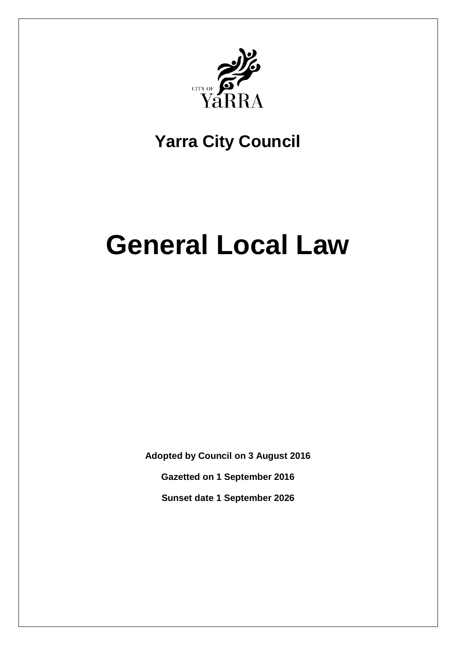

# **Yarra City Council**

# **General Local Law**

**Adopted by Council on 3 August 2016**

**Gazetted on 1 September 2016**

**Sunset date 1 September 2026**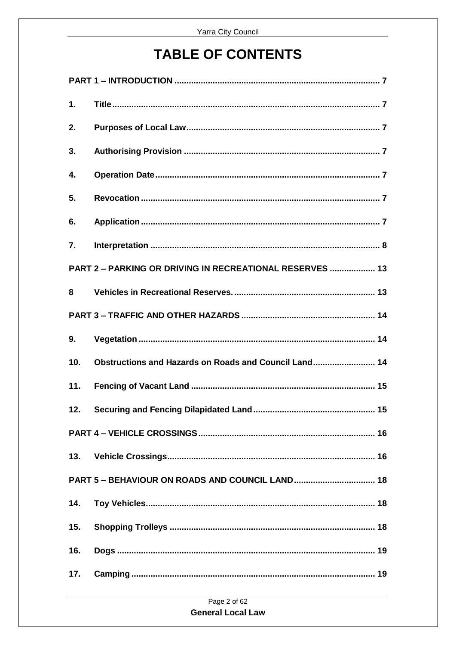## **TABLE OF CONTENTS**

| 1.  |                                                          |
|-----|----------------------------------------------------------|
| 2.  |                                                          |
| 3.  |                                                          |
| 4.  |                                                          |
| 5.  |                                                          |
| 6.  |                                                          |
| 7.  |                                                          |
|     | PART 2 - PARKING OR DRIVING IN RECREATIONAL RESERVES  13 |
| 8   |                                                          |
|     |                                                          |
| 9.  |                                                          |
| 10. | Obstructions and Hazards on Roads and Council Land 14    |
| 11. |                                                          |
| 12. |                                                          |
|     |                                                          |
|     |                                                          |
|     |                                                          |
| 14. |                                                          |
| 15. |                                                          |
| 16. |                                                          |
| 17. |                                                          |
|     | $P = 0.160$                                              |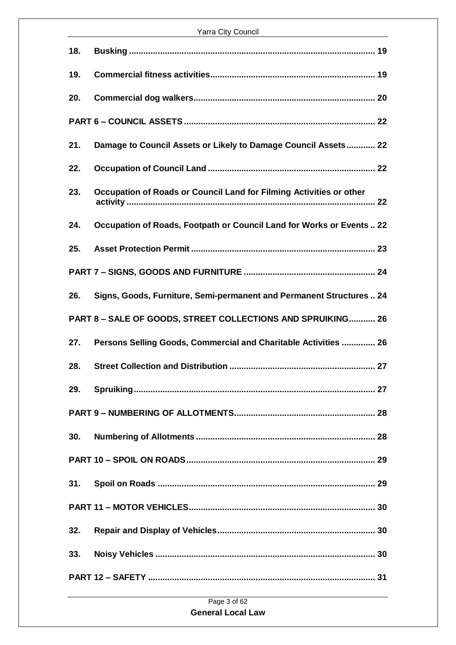| 18. |                                                                      |  |
|-----|----------------------------------------------------------------------|--|
| 19. |                                                                      |  |
| 20. |                                                                      |  |
|     |                                                                      |  |
| 21. | Damage to Council Assets or Likely to Damage Council Assets 22       |  |
| 22. |                                                                      |  |
| 23. | Occupation of Roads or Council Land for Filming Activities or other  |  |
| 24. | Occupation of Roads, Footpath or Council Land for Works or Events 22 |  |
| 25. |                                                                      |  |
|     |                                                                      |  |
| 26. | Signs, Goods, Furniture, Semi-permanent and Permanent Structures  24 |  |
|     | <b>PART 8-SALE OF GOODS, STREET COLLECTIONS AND SPRUIKING 26</b>     |  |
| 27. | Persons Selling Goods, Commercial and Charitable Activities  26      |  |
| 28. |                                                                      |  |
| 29. |                                                                      |  |
|     |                                                                      |  |
| 30. |                                                                      |  |
|     |                                                                      |  |
| 31. |                                                                      |  |
|     |                                                                      |  |
| 32. |                                                                      |  |
| 33. |                                                                      |  |
|     |                                                                      |  |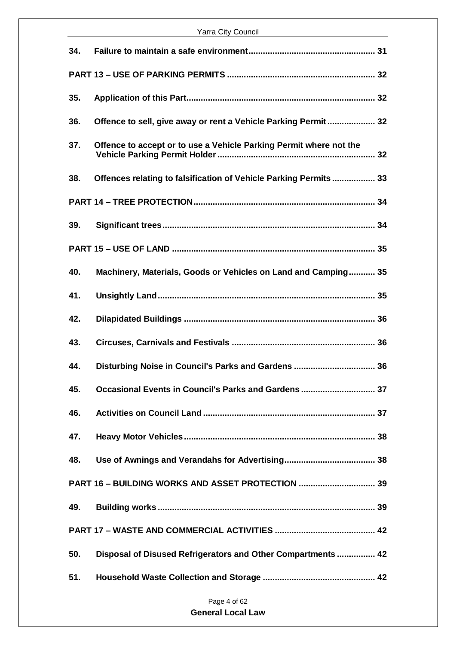| 34.          |                                                                    |  |
|--------------|--------------------------------------------------------------------|--|
|              |                                                                    |  |
| 35.          |                                                                    |  |
| 36.          | Offence to sell, give away or rent a Vehicle Parking Permit 32     |  |
| 37.          | Offence to accept or to use a Vehicle Parking Permit where not the |  |
| 38.          | Offences relating to falsification of Vehicle Parking Permits 33   |  |
|              |                                                                    |  |
| 39.          |                                                                    |  |
|              |                                                                    |  |
| 40.          | Machinery, Materials, Goods or Vehicles on Land and Camping 35     |  |
| 41.          |                                                                    |  |
| 42.          |                                                                    |  |
| 43.          |                                                                    |  |
| 44.          | Disturbing Noise in Council's Parks and Gardens  36                |  |
| 45.          | Occasional Events in Council's Parks and Gardens  37               |  |
| 46.          |                                                                    |  |
| 47.          |                                                                    |  |
| 48.          |                                                                    |  |
|              | PART 16 - BUILDING WORKS AND ASSET PROTECTION  39                  |  |
| 49.          |                                                                    |  |
|              |                                                                    |  |
| 50.          | Disposal of Disused Refrigerators and Other Compartments  42       |  |
| 51.          |                                                                    |  |
| Page 4 of 62 |                                                                    |  |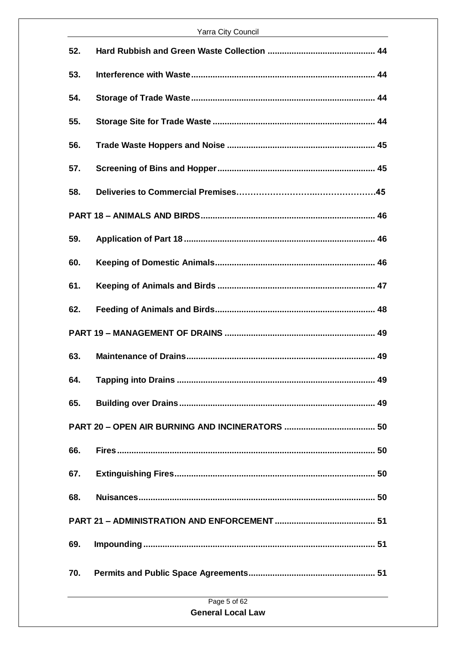| 52. |  |  |
|-----|--|--|
| 53. |  |  |
| 54. |  |  |
| 55. |  |  |
| 56. |  |  |
| 57. |  |  |
| 58. |  |  |
|     |  |  |
| 59. |  |  |
| 60. |  |  |
| 61. |  |  |
| 62. |  |  |
|     |  |  |
| 63. |  |  |
| 64. |  |  |
| 65. |  |  |
|     |  |  |
| 66. |  |  |
| 67. |  |  |
| 68. |  |  |
|     |  |  |
| 69. |  |  |
| 70. |  |  |
|     |  |  |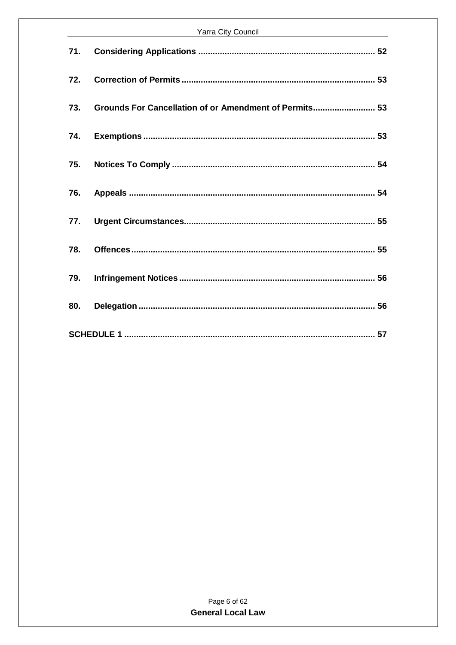|     | Yarra City Council <b>Canada Access Council</b> Council Council Council Council Council Council Council Council Council Council Council Council Council Council Council Council Council Council Council Council Council Council Cou |  |  |
|-----|-------------------------------------------------------------------------------------------------------------------------------------------------------------------------------------------------------------------------------------|--|--|
| 71. |                                                                                                                                                                                                                                     |  |  |
| 72. |                                                                                                                                                                                                                                     |  |  |
| 73. | Grounds For Cancellation of or Amendment of Permits 53                                                                                                                                                                              |  |  |
| 74. |                                                                                                                                                                                                                                     |  |  |
| 75. |                                                                                                                                                                                                                                     |  |  |
| 76. |                                                                                                                                                                                                                                     |  |  |
| 77. |                                                                                                                                                                                                                                     |  |  |
| 78. |                                                                                                                                                                                                                                     |  |  |
| 79. |                                                                                                                                                                                                                                     |  |  |
| 80. |                                                                                                                                                                                                                                     |  |  |
|     |                                                                                                                                                                                                                                     |  |  |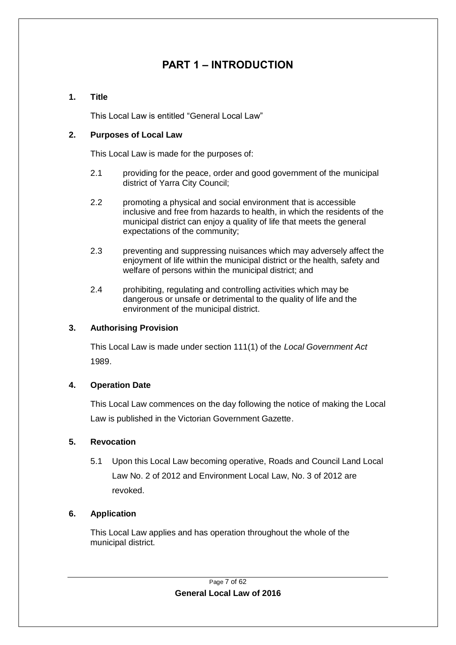## **PART 1 – INTRODUCTION**

#### <span id="page-6-1"></span><span id="page-6-0"></span>**1. Title**

This Local Law is entitled "General Local Law"

#### <span id="page-6-2"></span>**2. Purposes of Local Law**

This Local Law is made for the purposes of:

- 2.1 providing for the peace, order and good government of the municipal district of Yarra City Council;
- 2.2 promoting a physical and social environment that is accessible inclusive and free from hazards to health, in which the residents of the municipal district can enjoy a quality of life that meets the general expectations of the community;
- 2.3 preventing and suppressing nuisances which may adversely affect the enjoyment of life within the municipal district or the health, safety and welfare of persons within the municipal district; and
- 2.4 prohibiting, regulating and controlling activities which may be dangerous or unsafe or detrimental to the quality of life and the environment of the municipal district.

#### <span id="page-6-3"></span>**3. Authorising Provision**

This Local Law is made under section 111(1) of the *Local Government Act* 1989.

## <span id="page-6-4"></span>**4. Operation Date**

This Local Law commences on the day following the notice of making the Local Law is published in the Victorian Government Gazette.

## <span id="page-6-5"></span>**5. Revocation**

5.1 Upon this Local Law becoming operative, Roads and Council Land Local Law No. 2 of 2012 and Environment Local Law, No. 3 of 2012 are revoked.

## <span id="page-6-6"></span>**6. Application**

This Local Law applies and has operation throughout the whole of the municipal district.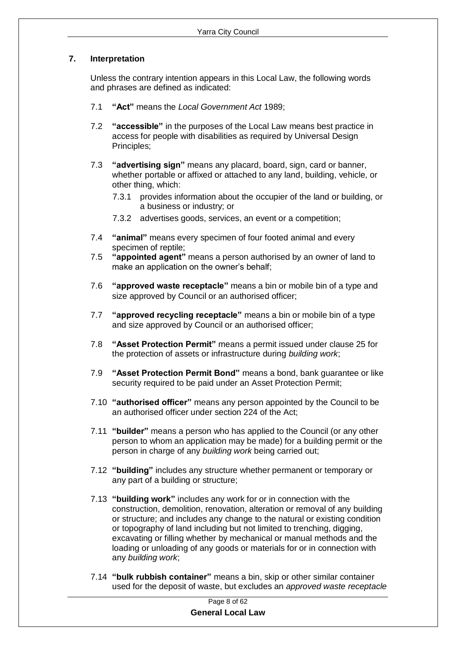#### <span id="page-7-0"></span>**7. Interpretation**

Unless the contrary intention appears in this Local Law, the following words and phrases are defined as indicated:

- 7.1 **"Act"** means the *Local Government Act* 1989;
- 7.2 **"accessible"** in the purposes of the Local Law means best practice in access for people with disabilities as required by Universal Design Principles;
- 7.3 **"advertising sign"** means any placard, board, sign, card or banner, whether portable or affixed or attached to any land, building, vehicle, or other thing, which:
	- 7.3.1 provides information about the occupier of the land or building, or a business or industry; or
	- 7.3.2 advertises goods, services, an event or a competition;
- 7.4 **"animal"** means every specimen of four footed animal and every specimen of reptile;
- 7.5 **"appointed agent"** means a person authorised by an owner of land to make an application on the owner's behalf;
- 7.6 **"approved waste receptacle"** means a bin or mobile bin of a type and size approved by Council or an authorised officer;
- 7.7 **"approved recycling receptacle"** means a bin or mobile bin of a type and size approved by Council or an authorised officer;
- 7.8 **"Asset Protection Permit"** means a permit issued under clause 25 for the protection of assets or infrastructure during *building work*;
- 7.9 **"Asset Protection Permit Bond"** means a bond, bank guarantee or like security required to be paid under an Asset Protection Permit;
- 7.10 **"authorised officer"** means any person appointed by the Council to be an authorised officer under section 224 of the Act;
- 7.11 **"builder"** means a person who has applied to the Council (or any other person to whom an application may be made) for a building permit or the person in charge of any *building work* being carried out;
- 7.12 **"building"** includes any structure whether permanent or temporary or any part of a building or structure;
- 7.13 **"building work"** includes any work for or in connection with the construction, demolition, renovation, alteration or removal of any building or structure; and includes any change to the natural or existing condition or topography of land including but not limited to trenching, digging, excavating or filling whether by mechanical or manual methods and the loading or unloading of any goods or materials for or in connection with any *building work*;
- 7.14 **"bulk rubbish container"** means a bin, skip or other similar container used for the deposit of waste, but excludes an *approved waste receptacle*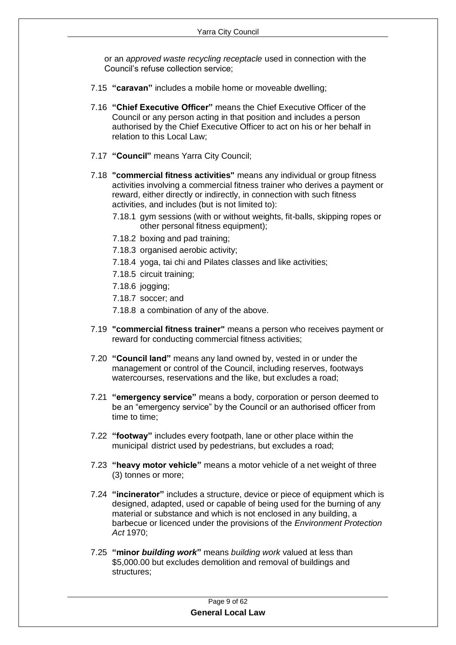or an *approved waste recycling receptacle* used in connection with the Council's refuse collection service;

- 7.15 **"caravan"** includes a mobile home or moveable dwelling;
- 7.16 **"Chief Executive Officer"** means the Chief Executive Officer of the Council or any person acting in that position and includes a person authorised by the Chief Executive Officer to act on his or her behalf in relation to this Local Law;
- 7.17 **"Council"** means Yarra City Council;
- 7.18 **"commercial fitness activities"** means any individual or group fitness activities involving a commercial fitness trainer who derives a payment or reward, either directly or indirectly, in connection with such fitness activities, and includes (but is not limited to):
	- 7.18.1 gym sessions (with or without weights, fit-balls, skipping ropes or other personal fitness equipment);
	- 7.18.2 boxing and pad training;
	- 7.18.3 organised aerobic activity;
	- 7.18.4 yoga, tai chi and Pilates classes and like activities;
	- 7.18.5 circuit training;
	- 7.18.6 jogging;
	- 7.18.7 soccer; and
	- 7.18.8 a combination of any of the above.
- 7.19 **"commercial fitness trainer"** means a person who receives payment or reward for conducting commercial fitness activities;
- 7.20 **"Council land"** means any land owned by, vested in or under the management or control of the Council, including reserves, footways watercourses, reservations and the like, but excludes a road;
- 7.21 **"emergency service"** means a body, corporation or person deemed to be an "emergency service" by the Council or an authorised officer from time to time;
- 7.22 **"footway"** includes every footpath, lane or other place within the municipal district used by pedestrians, but excludes a road;
- 7.23 **"heavy motor vehicle"** means a motor vehicle of a net weight of three (3) tonnes or more;
- 7.24 **"incinerator"** includes a structure, device or piece of equipment which is designed, adapted, used or capable of being used for the burning of any material or substance and which is not enclosed in any building, a barbecue or licenced under the provisions of the *Environment Protection Act* 1970;
- 7.25 **"minor** *building work***"** means *building work* valued at less than \$5,000.00 but excludes demolition and removal of buildings and structures;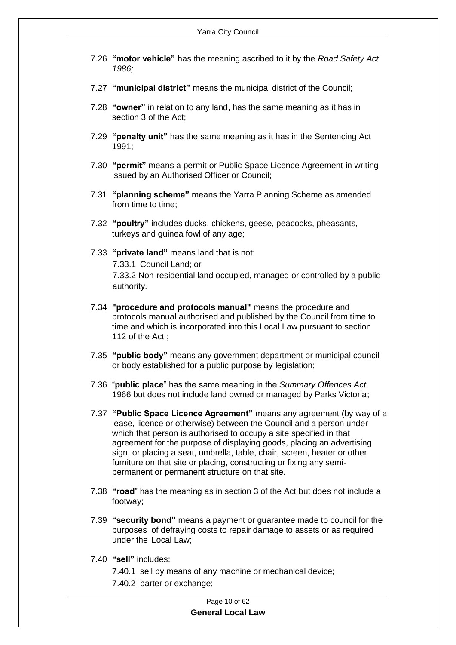- 7.26 **"motor vehicle"** has the meaning ascribed to it by the *Road Safety Act 1986;*
- 7.27 **"municipal district"** means the municipal district of the Council;
- 7.28 **"owner"** in relation to any land, has the same meaning as it has in section 3 of the Act;
- 7.29 **"penalty unit"** has the same meaning as it has in the Sentencing Act 1991;
- 7.30 **"permit"** means a permit or Public Space Licence Agreement in writing issued by an Authorised Officer or Council;
- 7.31 **"planning scheme"** means the Yarra Planning Scheme as amended from time to time;
- 7.32 **"poultry"** includes ducks, chickens, geese, peacocks, pheasants, turkeys and guinea fowl of any age;
- 7.33 **"private land"** means land that is not: 7.33.1 Council Land; or 7.33.2 Non-residential land occupied, managed or controlled by a public authority.
- 7.34 **"procedure and protocols manual"** means the procedure and protocols manual authorised and published by the Council from time to time and which is incorporated into this Local Law pursuant to section 112 of the Act ;
- 7.35 **"public body"** means any government department or municipal council or body established for a public purpose by legislation;
- 7.36 "**public place**" has the same meaning in the *Summary Offences Act* 1966 but does not include land owned or managed by Parks Victoria;
- 7.37 **"Public Space Licence Agreement"** means any agreement (by way of a lease, licence or otherwise) between the Council and a person under which that person is authorised to occupy a site specified in that agreement for the purpose of displaying goods, placing an advertising sign, or placing a seat, umbrella, table, chair, screen, heater or other furniture on that site or placing, constructing or fixing any semipermanent or permanent structure on that site.
- 7.38 **"road**" has the meaning as in section 3 of the Act but does not include a footway;
- 7.39 **"security bond"** means a payment or guarantee made to council for the purposes of defraying costs to repair damage to assets or as required under the Local Law;
- 7.40 **"sell"** includes:
	- 7.40.1 sell by means of any machine or mechanical device;
	- 7.40.2 barter or exchange;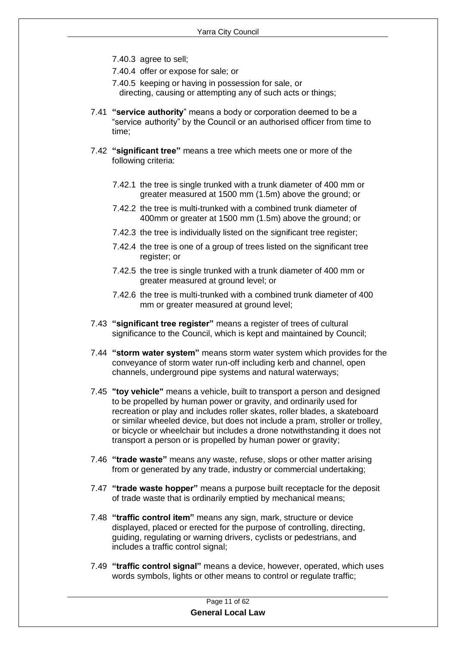- 7.40.3 agree to sell;
- 7.40.4 offer or expose for sale; or
- 7.40.5 keeping or having in possession for sale, or directing, causing or attempting any of such acts or things;
- 7.41 **"service authority**" means a body or corporation deemed to be a "service authority" by the Council or an authorised officer from time to time;
- 7.42 **"significant tree"** means a tree which meets one or more of the following criteria:
	- 7.42.1 the tree is single trunked with a trunk diameter of 400 mm or greater measured at 1500 mm (1.5m) above the ground; or
	- 7.42.2 the tree is multi-trunked with a combined trunk diameter of 400mm or greater at 1500 mm (1.5m) above the ground; or
	- 7.42.3 the tree is individually listed on the significant tree register;
	- 7.42.4 the tree is one of a group of trees listed on the significant tree register; or
	- 7.42.5 the tree is single trunked with a trunk diameter of 400 mm or greater measured at ground level; or
	- 7.42.6 the tree is multi-trunked with a combined trunk diameter of 400 mm or greater measured at ground level;
- 7.43 **"significant tree register"** means a register of trees of cultural significance to the Council, which is kept and maintained by Council;
- 7.44 **"storm water system"** means storm water system which provides for the conveyance of storm water run-off including kerb and channel, open channels, underground pipe systems and natural waterways;
- 7.45 **"toy vehicle"** means a vehicle, built to transport a person and designed to be propelled by human power or gravity, and ordinarily used for recreation or play and includes roller skates, roller blades, a skateboard or similar wheeled device, but does not include a pram, stroller or trolley, or bicycle or wheelchair but includes a drone notwithstanding it does not transport a person or is propelled by human power or gravity;
- 7.46 **"trade waste"** means any waste, refuse, slops or other matter arising from or generated by any trade, industry or commercial undertaking;
- 7.47 **"trade waste hopper"** means a purpose built receptacle for the deposit of trade waste that is ordinarily emptied by mechanical means;
- 7.48 **"traffic control item"** means any sign, mark, structure or device displayed, placed or erected for the purpose of controlling, directing, guiding, regulating or warning drivers, cyclists or pedestrians, and includes a traffic control signal;
- 7.49 **"traffic control signal"** means a device, however, operated, which uses words symbols, lights or other means to control or regulate traffic;

| Page 11 of 62            |  |
|--------------------------|--|
| <b>General Local Law</b> |  |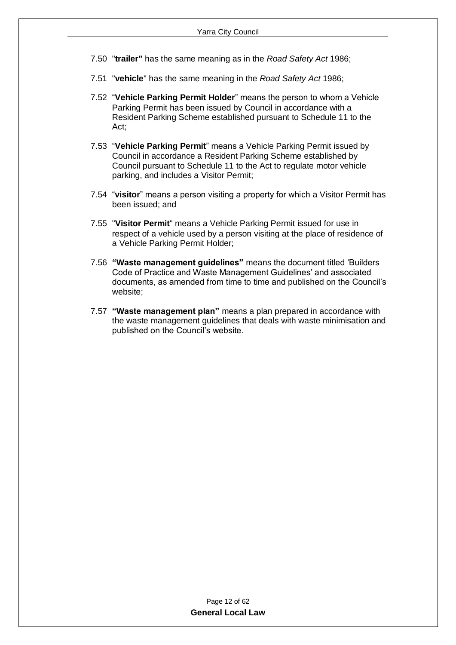- 7.50 "**trailer"** has the same meaning as in the *Road Safety Act* 1986;
- 7.51 "**vehicle**" has the same meaning in the *Road Safety Act* 1986;
- 7.52 "**Vehicle Parking Permit Holder**" means the person to whom a Vehicle Parking Permit has been issued by Council in accordance with a Resident Parking Scheme established pursuant to Schedule 11 to the Act;
- 7.53 "**Vehicle Parking Permit**" means a Vehicle Parking Permit issued by Council in accordance a Resident Parking Scheme established by Council pursuant to Schedule 11 to the Act to regulate motor vehicle parking, and includes a Visitor Permit;
- 7.54 "**visitor**" means a person visiting a property for which a Visitor Permit has been issued; and
- 7.55 "**Visitor Permit**" means a Vehicle Parking Permit issued for use in respect of a vehicle used by a person visiting at the place of residence of a Vehicle Parking Permit Holder;
- 7.56 **"Waste management guidelines"** means the document titled 'Builders Code of Practice and Waste Management Guidelines' and associated documents, as amended from time to time and published on the Council's website;
- 7.57 **"Waste management plan"** means a plan prepared in accordance with the waste management guidelines that deals with waste minimisation and published on the Council's website.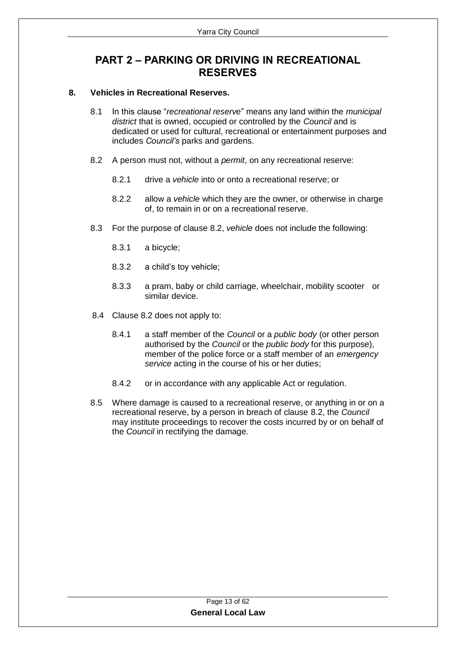## <span id="page-12-0"></span>**PART 2 – PARKING OR DRIVING IN RECREATIONAL RESERVES**

#### <span id="page-12-1"></span>**8. Vehicles in Recreational Reserves.**

- 8.1 In this clause "*recreational reserve*" means any land within the *municipal district* that is owned, occupied or controlled by the *Council* and is dedicated or used for cultural, recreational or entertainment purposes and includes *Council's* parks and gardens.
- 8.2 A person must not, without a *permit*, on any recreational reserve:
	- 8.2.1 drive a *vehicle* into or onto a recreational reserve; or
	- 8.2.2 allow a *vehicle* which they are the owner, or otherwise in charge of, to remain in or on a recreational reserve.
- 8.3 For the purpose of clause 8.2, *vehicle* does not include the following:
	- 8.3.1 a bicycle;
	- 8.3.2 a child's toy vehicle;
	- 8.3.3 a pram, baby or child carriage, wheelchair, mobility scooter or similar device.
- 8.4 Clause 8.2 does not apply to:
	- 8.4.1 a staff member of the *Council* or a *public body* (or other person authorised by the *Council* or the *public body* for this purpose), member of the police force or a staff member of an *emergency service* acting in the course of his or her duties;
	- 8.4.2 or in accordance with any applicable Act or regulation.
- 8.5 Where damage is caused to a recreational reserve, or anything in or on a recreational reserve, by a person in breach of clause 8.2, the *Council* may institute proceedings to recover the costs incurred by or on behalf of the *Council* in rectifying the damage.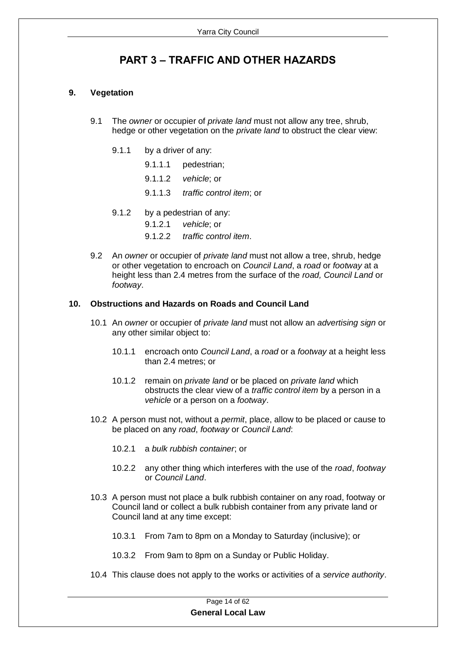## **PART 3 – TRAFFIC AND OTHER HAZARDS**

#### <span id="page-13-1"></span><span id="page-13-0"></span>**9. Vegetation**

- 9.1 The *owner* or occupier of *private land* must not allow any tree, shrub, hedge or other vegetation on the *private land* to obstruct the clear view:
	- 9.1.1 by a driver of any:
		- 9.1.1.1 pedestrian;
		- 9.1.1.2 *vehicle*; or
		- 9.1.1.3 *traffic control item*; or
	- 9.1.2 by a pedestrian of any:
		- 9.1.2.1 *vehicle*; or
		- 9.1.2.2 *traffic control item*.
- 9.2 An *owner* or occupier of *private land* must not allow a tree, shrub, hedge or other vegetation to encroach on *Council Land*, a *road* or *footway* at a height less than 2.4 metres from the surface of the *road, Council Land* or *footway*.

#### <span id="page-13-2"></span>**10. Obstructions and Hazards on Roads and Council Land**

- 10.1 An *owner* or occupier of *private land* must not allow an *advertising sign* or any other similar object to:
	- 10.1.1 encroach onto *Council Land*, a *road* or a *footway* at a height less than 2.4 metres; or
	- 10.1.2 remain on *private land* or be placed on *private land* which obstructs the clear view of a *traffic control item* by a person in a *vehicle* or a person on a *footway*.
- 10.2 A person must not, without a *permit*, place, allow to be placed or cause to be placed on any *road*, *footway* or *Council Land*:
	- 10.2.1 a *bulk rubbish container*; or
	- 10.2.2 any other thing which interferes with the use of the *road*, *footway* or *Council Land*.
- 10.3 A person must not place a bulk rubbish container on any road, footway or Council land or collect a bulk rubbish container from any private land or Council land at any time except:
	- 10.3.1 From 7am to 8pm on a Monday to Saturday (inclusive); or
	- 10.3.2 From 9am to 8pm on a Sunday or Public Holiday.
- 10.4 This clause does not apply to the works or activities of a *service authority*.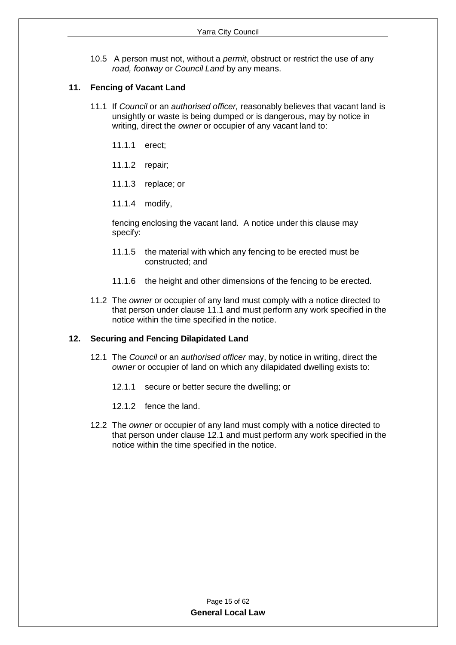10.5 A person must not, without a *permit*, obstruct or restrict the use of any *road, footway* or *Council Land* by any means.

#### <span id="page-14-0"></span>**11. Fencing of Vacant Land**

- 11.1 If *Council* or an *authorised officer,* reasonably believes that vacant land is unsightly or waste is being dumped or is dangerous, may by notice in writing, direct the *owner* or occupier of any vacant land to:
	- 11.1.1 erect;
	- 11.1.2 repair;
	- 11.1.3 replace; or
	- 11.1.4 modify,

fencing enclosing the vacant land. A notice under this clause may specify:

- 11.1.5 the material with which any fencing to be erected must be constructed; and
- 11.1.6 the height and other dimensions of the fencing to be erected.
- 11.2 The *owner* or occupier of any land must comply with a notice directed to that person under clause 11.1 and must perform any work specified in the notice within the time specified in the notice.

#### <span id="page-14-1"></span>**12. Securing and Fencing Dilapidated Land**

- 12.1 The *Council* or an *authorised officer* may, by notice in writing, direct the *owner* or occupier of land on which any dilapidated dwelling exists to:
	- 12.1.1 secure or better secure the dwelling; or
	- 12.1.2 fence the land.
- 12.2 The *owner* or occupier of any land must comply with a notice directed to that person under clause 12.1 and must perform any work specified in the notice within the time specified in the notice.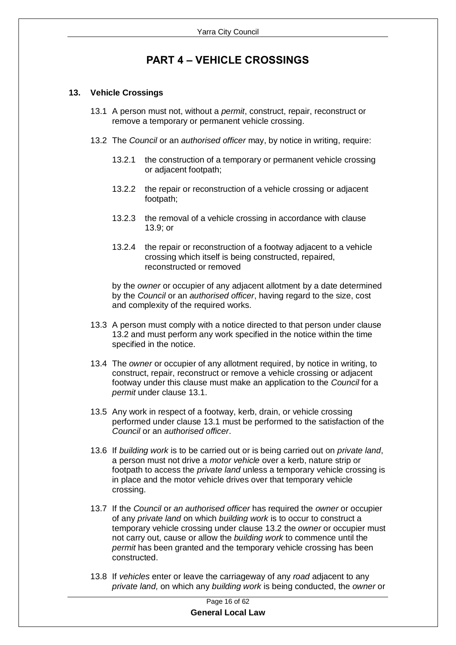## **PART 4 – VEHICLE CROSSINGS**

#### <span id="page-15-1"></span><span id="page-15-0"></span>**13. Vehicle Crossings**

- 13.1 A person must not, without a *permit*, construct, repair, reconstruct or remove a temporary or permanent vehicle crossing.
- 13.2 The *Council* or an *authorised officer* may, by notice in writing, require:
	- 13.2.1 the construction of a temporary or permanent vehicle crossing or adjacent footpath;
	- 13.2.2 the repair or reconstruction of a vehicle crossing or adjacent footpath;
	- 13.2.3 the removal of a vehicle crossing in accordance with clause 13.9; or
	- 13.2.4 the repair or reconstruction of a footway adjacent to a vehicle crossing which itself is being constructed, repaired, reconstructed or removed

by the *owner* or occupier of any adjacent allotment by a date determined by the *Council* or an *authorised officer*, having regard to the size, cost and complexity of the required works.

- 13.3 A person must comply with a notice directed to that person under clause 13.2 and must perform any work specified in the notice within the time specified in the notice.
- 13.4 The *owner* or occupier of any allotment required, by notice in writing, to construct, repair, reconstruct or remove a vehicle crossing or adjacent footway under this clause must make an application to the *Council* for a *permit* under clause 13.1.
- 13.5 Any work in respect of a footway, kerb, drain, or vehicle crossing performed under clause 13.1 must be performed to the satisfaction of the *Council* or an *authorised officer*.
- 13.6 If *building work* is to be carried out or is being carried out on *private land*, a person must not drive a *motor vehicle* over a kerb, nature strip or footpath to access the *private land* unless a temporary vehicle crossing is in place and the motor vehicle drives over that temporary vehicle crossing.
- 13.7 If the *Council* or *an authorised officer* has required the *owner* or occupier of any *private land* on which *building work* is to occur to construct a temporary vehicle crossing under clause 13.2 the *owner* or occupier must not carry out, cause or allow the *building work* to commence until the *permit* has been granted and the temporary vehicle crossing has been constructed.
- 13.8 If *vehicles* enter or leave the carriageway of any *road* adjacent to any *private land,* on which any *building work* is being conducted, the *owner* or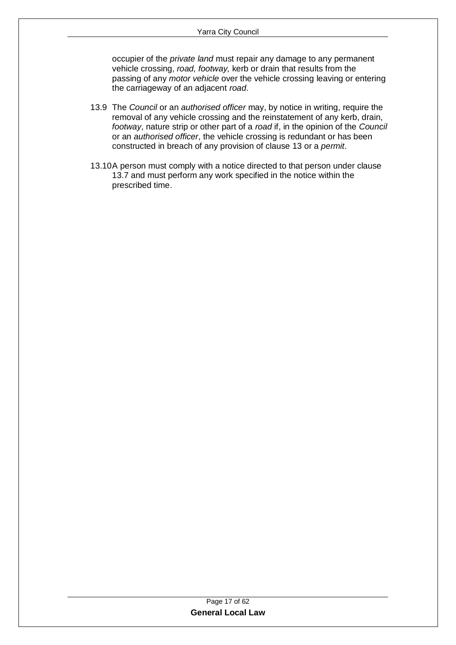occupier of the *private land* must repair any damage to any permanent vehicle crossing, *road, footway,* kerb or drain that results from the passing of any *motor vehicle* over the vehicle crossing leaving or entering the carriageway of an adjacent *road*.

- 13.9 The *Council* or an *authorised officer* may, by notice in writing, require the removal of any vehicle crossing and the reinstatement of any kerb, drain, *footway*, nature strip or other part of a *road* if, in the opinion of the *Council* or an *authorised officer*, the vehicle crossing is redundant or has been constructed in breach of any provision of clause 13 or a *permit*.
- 13.10A person must comply with a notice directed to that person under clause 13.7 and must perform any work specified in the notice within the prescribed time.

| Page 17 of 62            |  |
|--------------------------|--|
| <b>General Local Law</b> |  |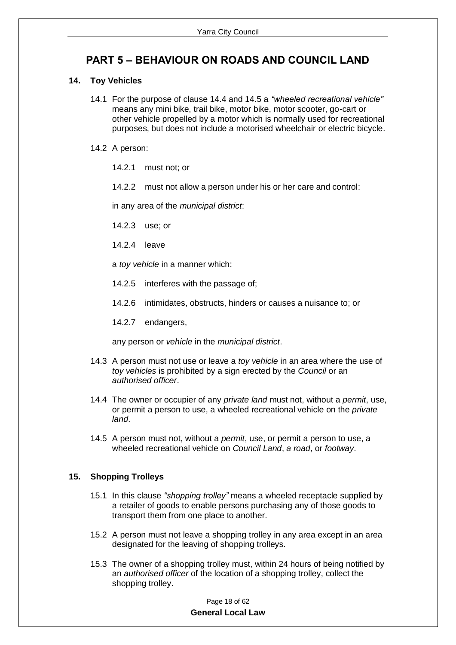## <span id="page-17-0"></span>**PART 5 – BEHAVIOUR ON ROADS AND COUNCIL LAND**

#### <span id="page-17-1"></span>**14. Toy Vehicles**

- 14.1 For the purpose of clause 14.4 and 14.5 a *"wheeled recreational vehicle"* means any mini bike, trail bike, motor bike, motor scooter, go-cart or other vehicle propelled by a motor which is normally used for recreational purposes, but does not include a motorised wheelchair or electric bicycle.
- 14.2 A person:
	- 14.2.1 must not; or
	- 14.2.2 must not allow a person under his or her care and control:

in any area of the *municipal district*:

- 14.2.3 use; or
- 14.2.4 leave

a *toy vehicle* in a manner which:

- 14.2.5 interferes with the passage of;
- 14.2.6 intimidates, obstructs, hinders or causes a nuisance to; or

14.2.7 endangers,

any person or *vehicle* in the *municipal district*.

- 14.3 A person must not use or leave a *toy vehicle* in an area where the use of *toy vehicles* is prohibited by a sign erected by the *Council* or an *authorised officer*.
- 14.4 The owner or occupier of any *private land* must not, without a *permit*, use, or permit a person to use, a wheeled recreational vehicle on the *private land*.
- 14.5 A person must not, without a *permit*, use, or permit a person to use, a wheeled recreational vehicle on *Council Land*, *a road*, or *footway*.

#### <span id="page-17-2"></span>**15. Shopping Trolleys**

- 15.1 In this clause *"shopping trolley"* means a wheeled receptacle supplied by a retailer of goods to enable persons purchasing any of those goods to transport them from one place to another.
- 15.2 A person must not leave a shopping trolley in any area except in an area designated for the leaving of shopping trolleys.
- 15.3 The owner of a shopping trolley must, within 24 hours of being notified by an *authorised officer* of the location of a shopping trolley, collect the shopping trolley.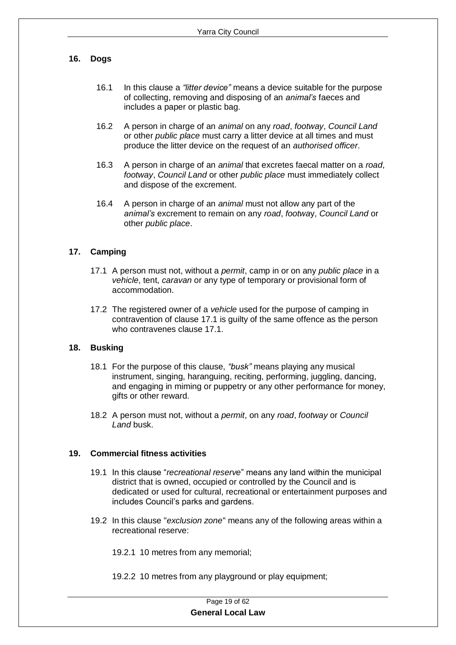#### <span id="page-18-0"></span>**16. Dogs**

- 16.1 In this clause a *"litter device"* means a device suitable for the purpose of collecting, removing and disposing of an *animal's* faeces and includes a paper or plastic bag.
- 16.2 A person in charge of an *animal* on any *road*, *footway*, *Council Land* or other *public place* must carry a litter device at all times and must produce the litter device on the request of an *authorised officer*.
- 16.3 A person in charge of an *animal* that excretes faecal matter on a *road*, *footway*, *Council Land* or other *public place* must immediately collect and dispose of the excrement.
- 16.4 A person in charge of an *animal* must not allow any part of the *animal's* excrement to remain on any *road*, *footwa*y, *Council Land* or other *public place*.

#### <span id="page-18-1"></span>**17. Camping**

- 17.1 A person must not, without a *permit*, camp in or on any *public place* in a *vehicle*, tent, *caravan* or any type of temporary or provisional form of accommodation.
- 17.2 The registered owner of a *vehicle* used for the purpose of camping in contravention of clause 17.1 is guilty of the same offence as the person who contravenes clause 17.1.

#### <span id="page-18-2"></span>**18. Busking**

- 18.1 For the purpose of this clause, *"busk"* means playing any musical instrument, singing, haranguing, reciting, performing, juggling, dancing, and engaging in miming or puppetry or any other performance for money, gifts or other reward.
- 18.2 A person must not, without a *permit*, on any *road*, *footway* or *Council Land* busk.

#### <span id="page-18-3"></span>**19. Commercial fitness activities**

- 19.1 In this clause "*recreational reserve*" means any land within the municipal district that is owned, occupied or controlled by the Council and is dedicated or used for cultural, recreational or entertainment purposes and includes Council's parks and gardens.
- 19.2 In this clause "*exclusion zone*" means any of the following areas within a recreational reserve:

19.2.1 10 metres from any memorial;

19.2.2 10 metres from any playground or play equipment;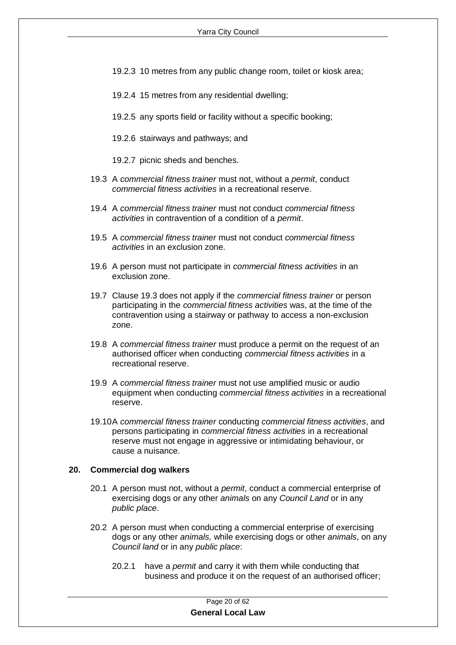- 19.2.3 10 metres from any public change room, toilet or kiosk area;
- 19.2.4 15 metres from any residential dwelling;
- 19.2.5 any sports field or facility without a specific booking;
- 19.2.6 stairways and pathways; and

19.2.7 picnic sheds and benches.

- 19.3 A *commercial fitness trainer* must not, without a *permit*, conduct *commercial fitness activities* in a recreational reserve.
- 19.4 A *commercial fitness trainer* must not conduct *commercial fitness activities* in contravention of a condition of a *permit*.
- 19.5 A *commercial fitness trainer* must not conduct *commercial fitness activities* in an exclusion zone.
- 19.6 A person must not participate in *commercial fitness activities* in an exclusion zone.
- 19.7 Clause 19.3 does not apply if the *commercial fitness trainer* or person participating in the *commercial fitness activities* was, at the time of the contravention using a stairway or pathway to access a non-exclusion zone.
- 19.8 A *commercial fitness trainer* must produce a permit on the request of an authorised officer when conducting *commercial fitness activities* in a recreational reserve.
- 19.9 A *commercial fitness trainer* must not use amplified music or audio equipment when conducting *commercial fitness activities* in a recreational reserve.
- 19.10A *commercial fitness trainer* conducting *commercial fitness activities*, and persons participating in *commercial fitness activities* in a recreational reserve must not engage in aggressive or intimidating behaviour, or cause a nuisance.

#### <span id="page-19-0"></span>**20. Commercial dog walkers**

- 20.1 A person must not, without a *permit*, conduct a commercial enterprise of exercising dogs or any other *animals* on any *Council Land* or in any *public place*.
- 20.2 A person must when conducting a commercial enterprise of exercising dogs or any other *animals,* while exercising dogs or other *animals*, on any *Council land* or in any *public place*:
	- 20.2.1 have a *permit* and carry it with them while conducting that business and produce it on the request of an authorised officer;

Page 20 of 62 **General Local Law**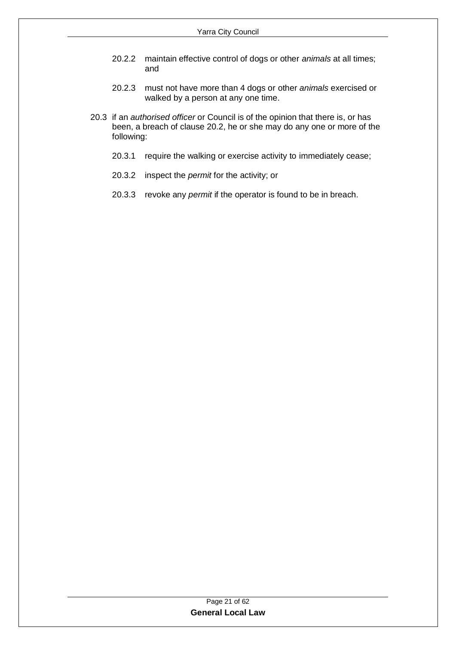- 20.2.2 maintain effective control of dogs or other *animals* at all times; and
- 20.2.3 must not have more than 4 dogs or other *animals* exercised or walked by a person at any one time.
- 20.3 if an *authorised officer* or Council is of the opinion that there is, or has been, a breach of clause 20.2, he or she may do any one or more of the following:
	- 20.3.1 require the walking or exercise activity to immediately cease;
	- 20.3.2 inspect the *permit* for the activity; or
	- 20.3.3 revoke any *permit* if the operator is found to be in breach.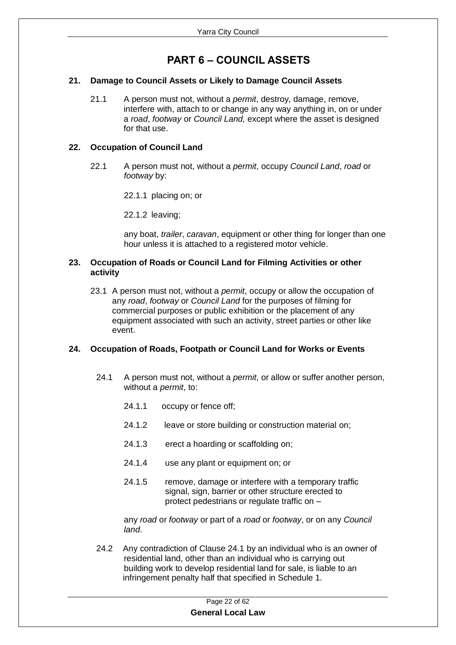## **PART 6 – COUNCIL ASSETS**

#### <span id="page-21-1"></span><span id="page-21-0"></span>**21. Damage to Council Assets or Likely to Damage Council Assets**

21.1 A person must not, without a *permit*, destroy, damage, remove, interfere with, attach to or change in any way anything in, on or under a *road*, *footway* or *Council Land,* except where the asset is designed for that use.

#### <span id="page-21-2"></span>**22. Occupation of Council Land**

22.1 A person must not, without a *permit*, occupy *Council Land*, *road* or *footway* by:

22.1.1 placing on; or

22.1.2 leaving;

any boat, *trailer*, *caravan*, equipment or other thing for longer than one hour unless it is attached to a registered motor vehicle.

#### <span id="page-21-3"></span>**23. Occupation of Roads or Council Land for Filming Activities or other activity**

23.1 A person must not, without a *permit*, occupy or allow the occupation of any *road*, *footway* or *Council Land* for the purposes of filming for commercial purposes or public exhibition or the placement of any equipment associated with such an activity, street parties or other like event.

#### <span id="page-21-4"></span>**24. Occupation of Roads, Footpath or Council Land for Works or Events**

- 24.1 A person must not, without a *permit*, or allow or suffer another person, without a *permit*, to:
	- 24.1.1 occupy or fence off;
	- 24.1.2 leave or store building or construction material on;
	- 24.1.3 erect a hoarding or scaffolding on;
	- 24.1.4 use any plant or equipment on; or
	- 24.1.5 remove, damage or interfere with a temporary traffic signal, sign, barrier or other structure erected to protect pedestrians or regulate traffic on –

any *road* or *footway* or part of a *road* or *footway*, or on any *Council land*.

24.2 Any contradiction of Clause 24.1 by an individual who is an owner of residential land, other than an individual who is carrying out building work to develop residential land for sale, is liable to an infringement penalty half that specified in Schedule 1.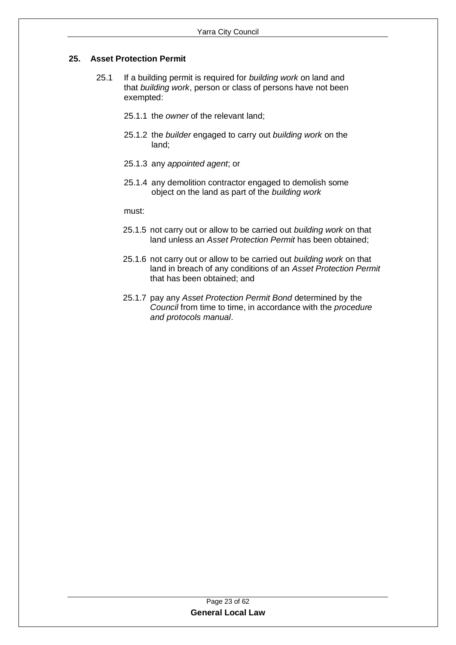#### <span id="page-22-0"></span>**25. Asset Protection Permit**

- 25.1 If a building permit is required for *building work* on land and that *building work*, person or class of persons have not been exempted:
	- 25.1.1 the *owner* of the relevant land;
	- 25.1.2 the *builder* engaged to carry out *building work* on the land;
	- 25.1.3 any *appointed agent*; or
	- 25.1.4 any demolition contractor engaged to demolish some object on the land as part of the *building work*

must:

- 25.1.5 not carry out or allow to be carried out *building work* on that land unless an *Asset Protection Permit* has been obtained;
- 25.1.6 not carry out or allow to be carried out *building work* on that land in breach of any conditions of an *Asset Protection Permit* that has been obtained; and
- 25.1.7 pay any *Asset Protection Permit Bond* determined by the *Council* from time to time, in accordance with the *procedure and protocols manual*.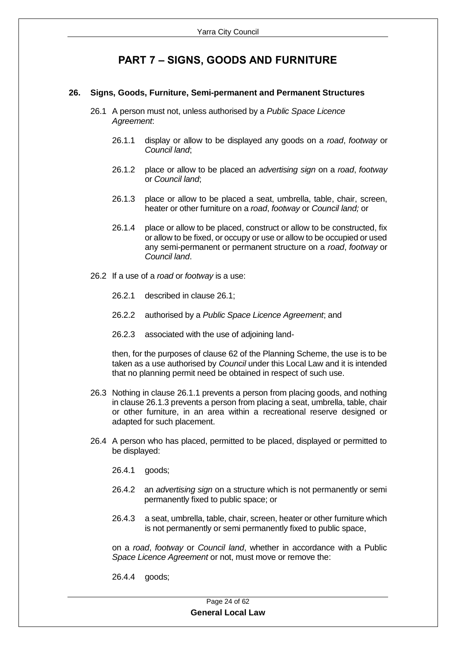## **PART 7 – SIGNS, GOODS AND FURNITURE**

#### <span id="page-23-1"></span><span id="page-23-0"></span>**26. Signs, Goods, Furniture, Semi-permanent and Permanent Structures**

- 26.1 A person must not, unless authorised by a *Public Space Licence Agreement*:
	- 26.1.1 display or allow to be displayed any goods on a *road*, *footway* or *Council land*;
	- 26.1.2 place or allow to be placed an *advertising sign* on a *road*, *footway* or *Council land*;
	- 26.1.3 place or allow to be placed a seat, umbrella, table, chair, screen, heater or other furniture on a *road*, *footway* or *Council land;* or
	- 26.1.4 place or allow to be placed, construct or allow to be constructed, fix or allow to be fixed, or occupy or use or allow to be occupied or used any semi-permanent or permanent structure on a *road*, *footway* or *Council land*.
- 26.2 If a use of a *road* or *footway* is a use:
	- 26.2.1 described in clause 26.1;
	- 26.2.2 authorised by a *Public Space Licence Agreement*; and
	- 26.2.3 associated with the use of adjoining land-

then, for the purposes of clause 62 of the Planning Scheme, the use is to be taken as a use authorised by *Council* under this Local Law and it is intended that no planning permit need be obtained in respect of such use.

- 26.3 Nothing in clause 26.1.1 prevents a person from placing goods, and nothing in clause 26.1.3 prevents a person from placing a seat, umbrella, table, chair or other furniture, in an area within a recreational reserve designed or adapted for such placement.
- 26.4 A person who has placed, permitted to be placed, displayed or permitted to be displayed:
	- 26.4.1 goods;
	- 26.4.2 an *advertising sign* on a structure which is not permanently or semi permanently fixed to public space; or
	- 26.4.3 a seat, umbrella, table, chair, screen, heater or other furniture which is not permanently or semi permanently fixed to public space,

on a *road*, *footway* or *Council land*, whether in accordance with a Public *Space Licence Agreement* or not, must move or remove the:

26.4.4 goods;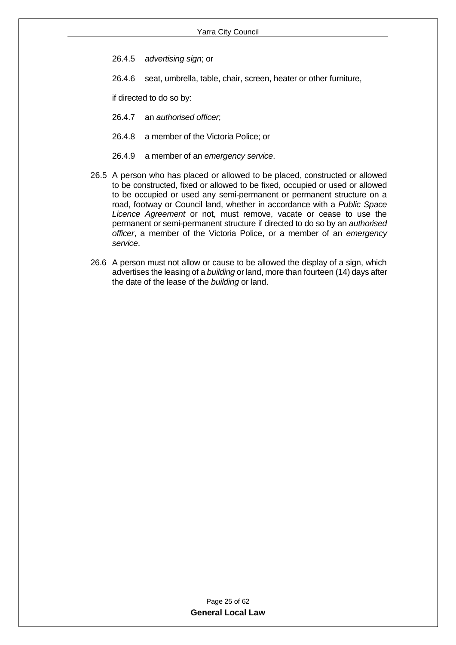- 26.4.5 *advertising sign*; or
- 26.4.6 seat, umbrella, table, chair, screen, heater or other furniture,

if directed to do so by:

- 26.4.7 an *authorised officer*;
- 26.4.8 a member of the Victoria Police; or
- 26.4.9 a member of an *emergency service*.
- 26.5 A person who has placed or allowed to be placed, constructed or allowed to be constructed, fixed or allowed to be fixed, occupied or used or allowed to be occupied or used any semi-permanent or permanent structure on a road, footway or Council land, whether in accordance with a *Public Space Licence Agreement* or not, must remove, vacate or cease to use the permanent or semi-permanent structure if directed to do so by an *authorised officer*, a member of the Victoria Police, or a member of an *emergency service*.
- 26.6 A person must not allow or cause to be allowed the display of a sign, which advertises the leasing of a *building* or land, more than fourteen (14) days after the date of the lease of the *building* or land.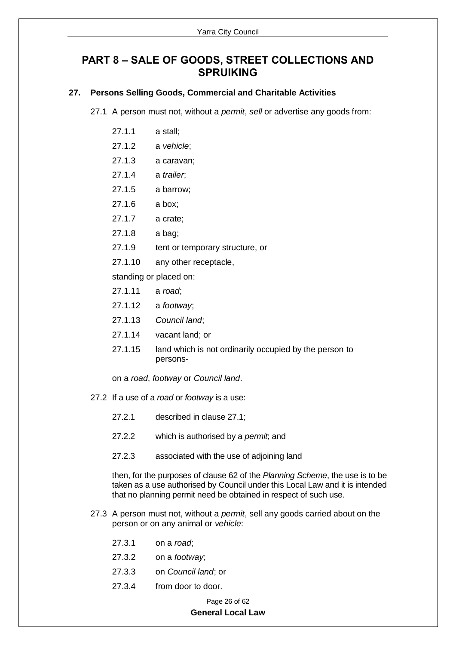## <span id="page-25-0"></span>**PART 8 – SALE OF GOODS, STREET COLLECTIONS AND SPRUIKING**

#### <span id="page-25-1"></span>**27. Persons Selling Goods, Commercial and Charitable Activities**

27.1 A person must not, without a *permit*, *sell* or advertise any goods from:

- 27.1.1 a stall;
- 27.1.2 a *vehicle*;
- 27.1.3 a caravan;
- 27.1.4 a *trailer*;
- 27.1.5 a barrow;
- 27.1.6 a box;
- 27.1.7 a crate;
- 27.1.8 a bag;
- 27.1.9 tent or temporary structure, or
- 27.1.10 any other receptacle,

standing or placed on:

- 27.1.11 a *road*;
- 27.1.12 a *footway*;
- 27.1.13 *Council land*;
- 27.1.14 vacant land; or
- 27.1.15 land which is not ordinarily occupied by the person to persons-

on a *road*, *footway* or *Council land*.

- 27.2 If a use of a *road* or *footway* is a use:
	- 27.2.1 described in clause 27.1;
	- 27.2.2 which is authorised by a *permit*; and
	- 27.2.3 associated with the use of adjoining land

then, for the purposes of clause 62 of the *Planning Scheme*, the use is to be taken as a use authorised by Council under this Local Law and it is intended that no planning permit need be obtained in respect of such use.

- 27.3 A person must not, without a *permit*, sell any goods carried about on the person or on any animal or *vehicle*:
	- 27.3.1 on a *road*;
	- 27.3.2 on a *footway*;
	- 27.3.3 on *Council land*; or
	- 27.3.4 from door to door.

#### Page 26 of 62 **General Local Law**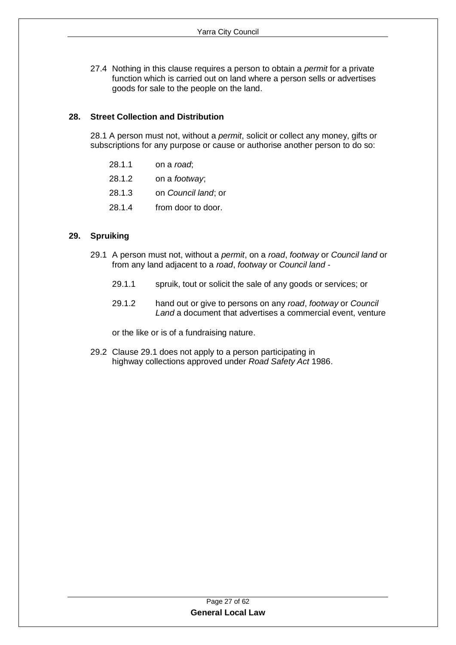27.4 Nothing in this clause requires a person to obtain a *permit* for a private function which is carried out on land where a person sells or advertises goods for sale to the people on the land.

#### <span id="page-26-0"></span>**28. Street Collection and Distribution**

28.1 A person must not, without a *permit*, solicit or collect any money, gifts or subscriptions for any purpose or cause or authorise another person to do so:

- 28.1.1 on a *road*;
- 28.1.2 on a *footway*;
- 28.1.3 on *Council land*; or
- 28.1.4 from door to door.

#### <span id="page-26-1"></span>**29. Spruiking**

- 29.1 A person must not, without a *permit*, on a *road*, *footway* or *Council land* or from any land adjacent to a *road*, *footway* or *Council land* -
	- 29.1.1 spruik, tout or solicit the sale of any goods or services; or
	- 29.1.2 hand out or give to persons on any *road*, *footway* or *Council Land* a document that advertises a commercial event, venture

or the like or is of a fundraising nature.

29.2 Clause 29.1 does not apply to a person participating in highway collections approved under *Road Safety Act* 1986.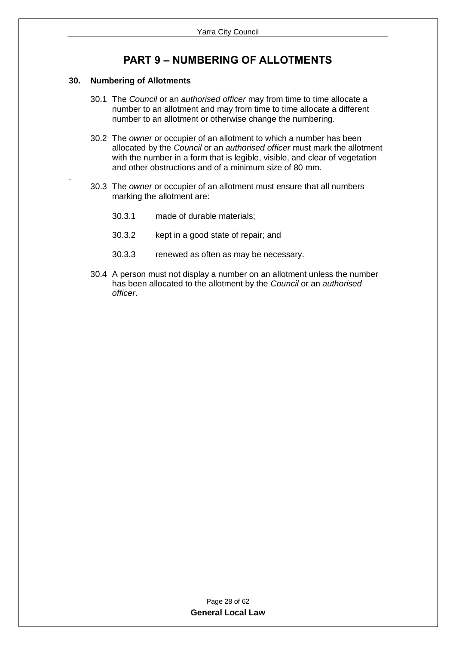## **PART 9 – NUMBERING OF ALLOTMENTS**

#### <span id="page-27-1"></span><span id="page-27-0"></span>**30. Numbering of Allotments**

.

- 30.1 The *Council* or an *authorised officer* may from time to time allocate a number to an allotment and may from time to time allocate a different number to an allotment or otherwise change the numbering.
- 30.2 The *owner* or occupier of an allotment to which a number has been allocated by the *Council* or an *authorised officer* must mark the allotment with the number in a form that is legible, visible, and clear of vegetation and other obstructions and of a minimum size of 80 mm.
- 30.3 The *owner* or occupier of an allotment must ensure that all numbers marking the allotment are:
	- 30.3.1 made of durable materials;
	- 30.3.2 kept in a good state of repair; and
	- 30.3.3 renewed as often as may be necessary.
- 30.4 A person must not display a number on an allotment unless the number has been allocated to the allotment by the *Council* or an *authorised officer*.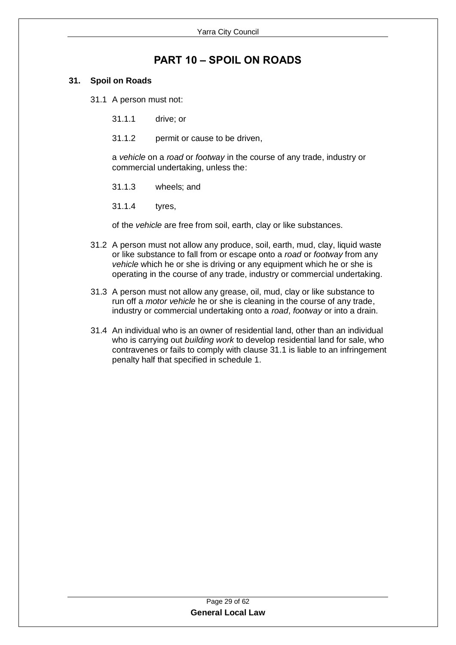## **PART 10 – SPOIL ON ROADS**

#### <span id="page-28-1"></span><span id="page-28-0"></span>**31. Spoil on Roads**

31.1 A person must not:

- 31.1.1 drive; or
- 31.1.2 permit or cause to be driven,

a *vehicle* on a *road* or *footway* in the course of any trade, industry or commercial undertaking, unless the:

- 31.1.3 wheels; and
- 31.1.4 tyres,

of the *vehicle* are free from soil, earth, clay or like substances.

- 31.2 A person must not allow any produce, soil, earth, mud, clay, liquid waste or like substance to fall from or escape onto a *road* or *footway* from any *vehicle* which he or she is driving or any equipment which he or she is operating in the course of any trade, industry or commercial undertaking.
- 31.3 A person must not allow any grease, oil, mud, clay or like substance to run off a *motor vehicle* he or she is cleaning in the course of any trade, industry or commercial undertaking onto a *road*, *footway* or into a drain.
- 31.4 An individual who is an owner of residential land, other than an individual who is carrying out *building work* to develop residential land for sale, who contravenes or fails to comply with clause 31.1 is liable to an infringement penalty half that specified in schedule 1.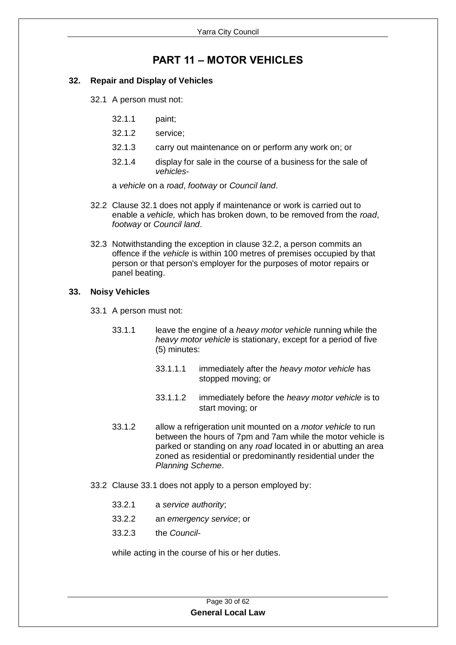## **PART 11 – MOTOR VEHICLES**

#### <span id="page-29-1"></span><span id="page-29-0"></span>**32. Repair and Display of Vehicles**

- 32.1 A person must not:
	- 32.1.1 paint;
	- 32.1.2 service;
	- 32.1.3 carry out maintenance on or perform any work on; or
	- 32.1.4 display for sale in the course of a business for the sale of *vehicles*-

a *vehicle* on a *road*, *footway* or *Council land*.

- 32.2 Clause 32.1 does not apply if maintenance or work is carried out to enable a *vehicle,* which has broken down, to be removed from the *road*, *footway* or *Council land*.
- 32.3 Notwithstanding the exception in clause 32.2, a person commits an offence if the *vehicle* is within 100 metres of premises occupied by that person or that person's employer for the purposes of motor repairs or panel beating.

#### <span id="page-29-2"></span>**33. Noisy Vehicles**

- 33.1 A person must not:
	- 33.1.1 leave the engine of a *heavy motor vehicle* running while the *heavy motor vehicle* is stationary, except for a period of five (5) minutes:
		- 33.1.1.1 immediately after the *heavy motor vehicle* has stopped moving; or
		- 33.1.1.2 immediately before the *heavy motor vehicle* is to start moving; or
	- 33.1.2 allow a refrigeration unit mounted on a *motor vehicle* to run between the hours of 7pm and 7am while the motor vehicle is parked or standing on any *road* located in or abutting an area zoned as residential or predominantly residential under the *Planning Scheme*.
- 33.2 Clause 33.1 does not apply to a person employed by:
	- 33.2.1 a *service authority*;
	- 33.2.2 an *emergency service*; or
	- 33.2.3 the *Council*-

while acting in the course of his or her duties.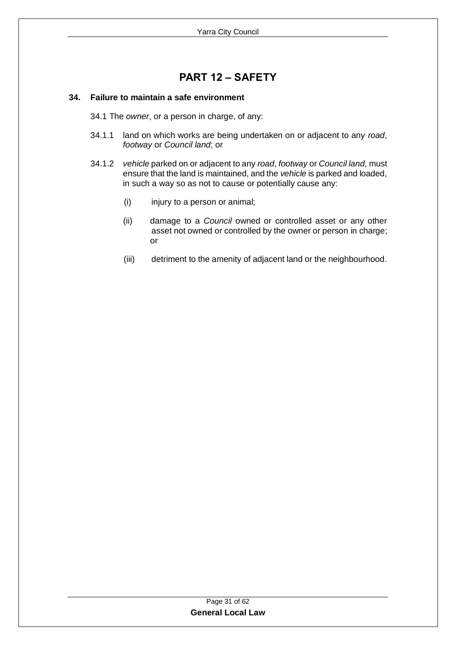## **PART 12 – SAFETY**

#### <span id="page-30-1"></span><span id="page-30-0"></span>**34. Failure to maintain a safe environment**

- 34.1 The *owner*, or a person in charge, of any:
- 34.1.1 land on which works are being undertaken on or adjacent to any *road*, *footway* or *Council land*; or
- 34.1.2 *vehicle* parked on or adjacent to any *road*, *footway* or *Council land*, must ensure that the land is maintained, and the *vehicle* is parked and loaded, in such a way so as not to cause or potentially cause any:
	- (i) injury to a person or animal;
	- (ii) damage to a *Council* owned or controlled asset or any other asset not owned or controlled by the owner or person in charge; or
	- (iii) detriment to the amenity of adjacent land or the neighbourhood.

| Page 31 of 62            |  |
|--------------------------|--|
| <b>General Local Law</b> |  |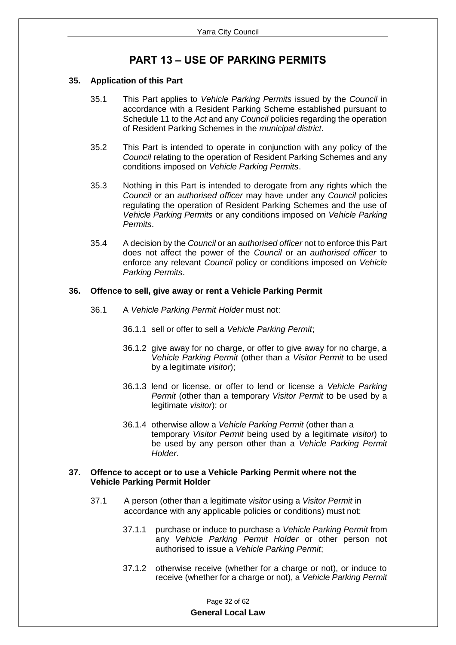## **PART 13 – USE OF PARKING PERMITS**

#### <span id="page-31-1"></span><span id="page-31-0"></span>**35. Application of this Part**

- 35.1 This Part applies to *Vehicle Parking Permits* issued by the *Council* in accordance with a Resident Parking Scheme established pursuant to Schedule 11 to the *Act* and any *Council* policies regarding the operation of Resident Parking Schemes in the *municipal district*.
- 35.2 This Part is intended to operate in conjunction with any policy of the *Council* relating to the operation of Resident Parking Schemes and any conditions imposed on *Vehicle Parking Permits*.
- 35.3 Nothing in this Part is intended to derogate from any rights which the *Council* or an *authorised officer* may have under any *Council* policies regulating the operation of Resident Parking Schemes and the use of *Vehicle Parking Permits* or any conditions imposed on *Vehicle Parking Permits*.
- 35.4 A decision by the *Council* or an *authorised officer* not to enforce this Part does not affect the power of the *Council* or an *authorised officer* to enforce any relevant *Council* policy or conditions imposed on *Vehicle Parking Permits*.

#### <span id="page-31-2"></span>**36. Offence to sell, give away or rent a Vehicle Parking Permit**

- 36.1 A *Vehicle Parking Permit Holder* must not:
	- 36.1.1 sell or offer to sell a *Vehicle Parking Permit*;
	- 36.1.2 give away for no charge, or offer to give away for no charge, a *Vehicle Parking Permit* (other than a *Visitor Permit* to be used by a legitimate *visitor*);
	- 36.1.3 lend or license, or offer to lend or license a *Vehicle Parking Permit* (other than a temporary *Visitor Permit* to be used by a legitimate *visitor*); or
	- 36.1.4 otherwise allow a *Vehicle Parking Permit* (other than a temporary *Visitor Permit* being used by a legitimate *visitor*) to be used by any person other than a *Vehicle Parking Permit Holder*.

#### <span id="page-31-3"></span>**37. Offence to accept or to use a Vehicle Parking Permit where not the Vehicle Parking Permit Holder**

- 37.1 A person (other than a legitimate *visitor* using a *Visitor Permit* in accordance with any applicable policies or conditions) must not:
	- 37.1.1 purchase or induce to purchase a *Vehicle Parking Permit* from any *Vehicle Parking Permit Holder* or other person not authorised to issue a *Vehicle Parking Permit*;
	- 37.1.2 otherwise receive (whether for a charge or not), or induce to receive (whether for a charge or not), a *Vehicle Parking Permit*

|                          | Page 32 of 62 |  |
|--------------------------|---------------|--|
| <b>General Local Law</b> |               |  |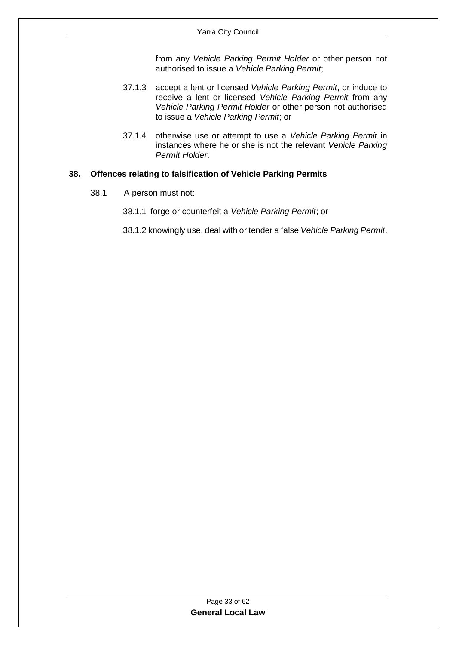from any *Vehicle Parking Permit Holder* or other person not authorised to issue a *Vehicle Parking Permit*;

- 37.1.3 accept a lent or licensed *Vehicle Parking Permit*, or induce to receive a lent or licensed *Vehicle Parking Permit* from any *Vehicle Parking Permit Holder* or other person not authorised to issue a *Vehicle Parking Permit*; or
- 37.1.4 otherwise use or attempt to use a *Vehicle Parking Permit* in instances where he or she is not the relevant *Vehicle Parking Permit Holder*.

#### <span id="page-32-0"></span>**38. Offences relating to falsification of Vehicle Parking Permits**

- 38.1 A person must not:
	- 38.1.1 forge or counterfeit a *Vehicle Parking Permit*; or
	- 38.1.2 knowingly use, deal with or tender a false *Vehicle Parking Permit*.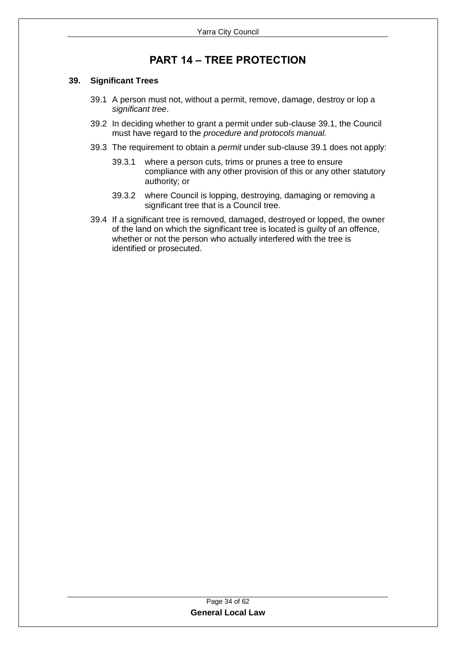## **PART 14 – TREE PROTECTION**

#### <span id="page-33-1"></span><span id="page-33-0"></span>**39. Significant Trees**

- 39.1 A person must not, without a permit, remove, damage, destroy or lop a *significant tree*.
- 39.2 In deciding whether to grant a permit under sub-clause 39.1, the Council must have regard to the *procedure and protocols manual.*
- 39.3 The requirement to obtain a *permit* under sub-clause 39.1 does not apply:
	- 39.3.1 where a person cuts, trims or prunes a tree to ensure compliance with any other provision of this or any other statutory authority; or
	- 39.3.2 where Council is lopping, destroying, damaging or removing a significant tree that is a Council tree.
- 39.4 If a significant tree is removed, damaged, destroyed or lopped, the owner of the land on which the significant tree is located is guilty of an offence, whether or not the person who actually interfered with the tree is identified or prosecuted.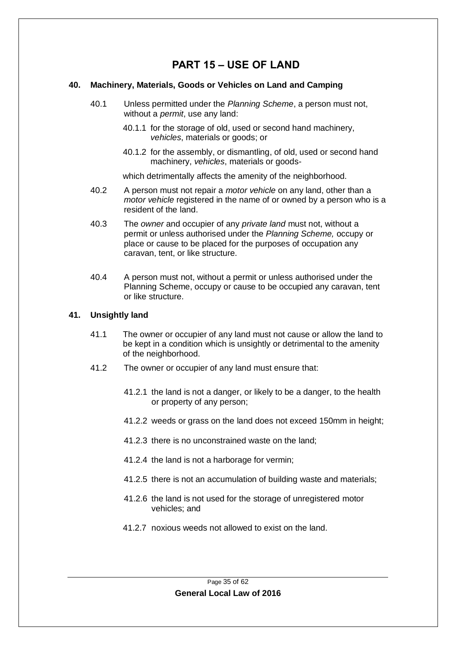## **PART 15 – USE OF LAND**

#### <span id="page-34-1"></span><span id="page-34-0"></span>**40. Machinery, Materials, Goods or Vehicles on Land and Camping**

- 40.1 Unless permitted under the *Planning Scheme*, a person must not, without a *permit*, use any land:
	- 40.1.1 for the storage of old, used or second hand machinery, *vehicles*, materials or goods; or
	- 40.1.2 for the assembly, or dismantling, of old, used or second hand machinery, *vehicles*, materials or goods-

which detrimentally affects the amenity of the neighborhood.

- 40.2 A person must not repair a *motor vehicle* on any land, other than a *motor vehicle* registered in the name of or owned by a person who is a resident of the land.
- 40.3 The *owner* and occupier of any *private land* must not, without a permit or unless authorised under the *Planning Scheme,* occupy or place or cause to be placed for the purposes of occupation any caravan, tent, or like structure.
- 40.4 A person must not, without a permit or unless authorised under the Planning Scheme, occupy or cause to be occupied any caravan, tent or like structure.

#### <span id="page-34-2"></span>**41. Unsightly land**

- 41.1 The owner or occupier of any land must not cause or allow the land to be kept in a condition which is unsightly or detrimental to the amenity of the neighborhood.
- 41.2 The owner or occupier of any land must ensure that:
	- 41.2.1 the land is not a danger, or likely to be a danger, to the health or property of any person;
	- 41.2.2 weeds or grass on the land does not exceed 150mm in height;
	- 41.2.3 there is no unconstrained waste on the land;
	- 41.2.4 the land is not a harborage for vermin;
	- 41.2.5 there is not an accumulation of building waste and materials;
	- 41.2.6 the land is not used for the storage of unregistered motor vehicles; and
	- 41.2.7 noxious weeds not allowed to exist on the land.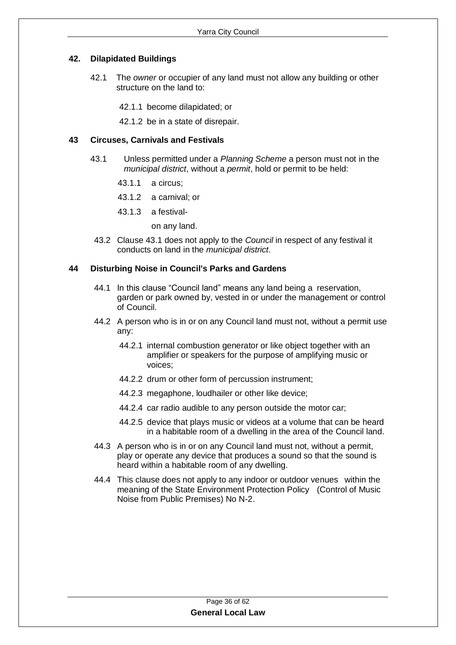#### <span id="page-35-0"></span>**42. Dilapidated Buildings**

- 42.1 The *owner* or occupier of any land must not allow any building or other structure on the land to:
	- 42.1.1 become dilapidated; or
	- 42.1.2 be in a state of disrepair.

#### <span id="page-35-1"></span>**43 Circuses, Carnivals and Festivals**

- 43.1 Unless permitted under a *Planning Scheme* a person must not in the *municipal district*, without a *permit*, hold or permit to be held:
	- 43.1.1 a circus;
	- 43.1.2 a carnival; or
	- 43.1.3 a festival
		- on any land.
- 43.2 Clause 43.1 does not apply to the *Council* in respect of any festival it conducts on land in the *municipal district*.

#### <span id="page-35-2"></span>**44 Disturbing Noise in Council's Parks and Gardens**

- 44.1 In this clause "Council land" means any land being a reservation, garden or park owned by, vested in or under the management or control of Council.
- 44.2 A person who is in or on any Council land must not, without a permit use any:
	- 44.2.1 internal combustion generator or like object together with an amplifier or speakers for the purpose of amplifying music or voices;
	- 44.2.2 drum or other form of percussion instrument;
	- 44.2.3 megaphone, loudhailer or other like device;
	- 44.2.4 car radio audible to any person outside the motor car;
	- 44.2.5 device that plays music or videos at a volume that can be heard in a habitable room of a dwelling in the area of the Council land.
- 44.3 A person who is in or on any Council land must not, without a permit, play or operate any device that produces a sound so that the sound is heard within a habitable room of any dwelling.
- 44.4 This clause does not apply to any indoor or outdoor venues within the meaning of the State Environment Protection Policy (Control of Music Noise from Public Premises) No N-2.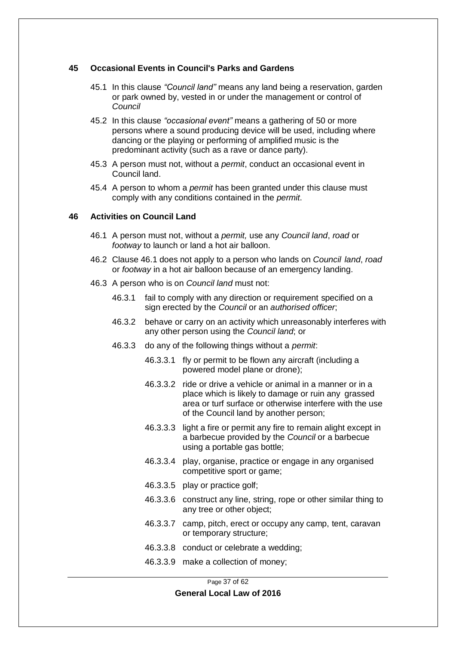#### <span id="page-36-0"></span>**45 Occasional Events in Council's Parks and Gardens**

- 45.1 In this clause *"Council land"* means any land being a reservation, garden or park owned by, vested in or under the management or control of *Council*
- 45.2 In this clause *"occasional event"* means a gathering of 50 or more persons where a sound producing device will be used, including where dancing or the playing or performing of amplified music is the predominant activity (such as a rave or dance party).
- 45.3 A person must not, without a *permit*, conduct an occasional event in Council land.
- 45.4 A person to whom a *permit* has been granted under this clause must comply with any conditions contained in the *permit*.

#### <span id="page-36-1"></span>**46 Activities on Council Land**

- 46.1 A person must not, without a *permit,* use any *Council land*, *road* or *footway* to launch or land a hot air balloon.
- 46.2 Clause 46.1 does not apply to a person who lands on *Council land*, *road* or *footway* in a hot air balloon because of an emergency landing.
- 46.3 A person who is on *Council land* must not:
	- 46.3.1 fail to comply with any direction or requirement specified on a sign erected by the *Council* or an *authorised officer*;
	- 46.3.2 behave or carry on an activity which unreasonably interferes with any other person using the *Council land*; or
	- 46.3.3 do any of the following things without a *permit*:
		- 46.3.3.1 fly or permit to be flown any aircraft (including a powered model plane or drone);
		- 46.3.3.2 ride or drive a vehicle or animal in a manner or in a place which is likely to damage or ruin any grassed area or turf surface or otherwise interfere with the use of the Council land by another person;
		- 46.3.3.3 light a fire or permit any fire to remain alight except in a barbecue provided by the *Council* or a barbecue using a portable gas bottle;
		- 46.3.3.4 play, organise, practice or engage in any organised competitive sport or game;
		- 46.3.3.5 play or practice golf;
		- 46.3.3.6 construct any line, string, rope or other similar thing to any tree or other object;
		- 46.3.3.7 camp, pitch, erect or occupy any camp, tent, caravan or temporary structure;
		- 46.3.3.8 conduct or celebrate a wedding;
		- 46.3.3.9 make a collection of money;

Page 37 of 62 **General Local Law of 2016**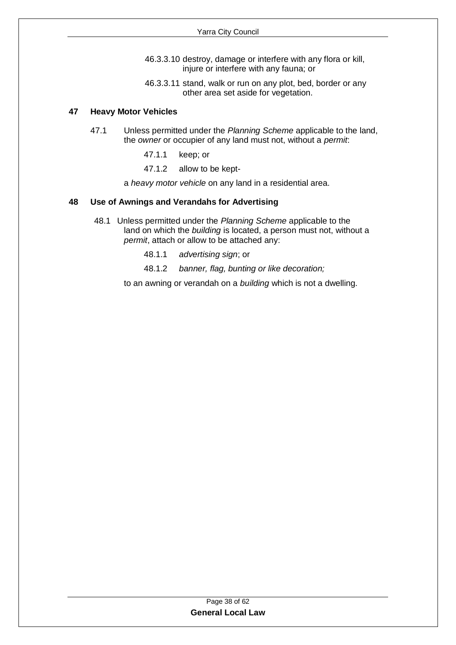- 46.3.3.10 destroy, damage or interfere with any flora or kill, injure or interfere with any fauna; or
- 46.3.3.11 stand, walk or run on any plot, bed, border or any other area set aside for vegetation.

#### <span id="page-37-0"></span>**47 Heavy Motor Vehicles**

- 47.1 Unless permitted under the *Planning Scheme* applicable to the land, the *owner* or occupier of any land must not, without a *permit*:
	- 47.1.1 keep; or
	- 47.1.2 allow to be kept-

a *heavy motor vehicle* on any land in a residential area.

#### <span id="page-37-1"></span>**48 Use of Awnings and Verandahs for Advertising**

- 48.1 Unless permitted under the *Planning Scheme* applicable to the land on which the *building* is located, a person must not, without a *permit*, attach or allow to be attached any:
	- 48.1.1 *advertising sign*; or
	- 48.1.2 *banner, flag, bunting or like decoration;*

to an awning or verandah on a *building* which is not a dwelling.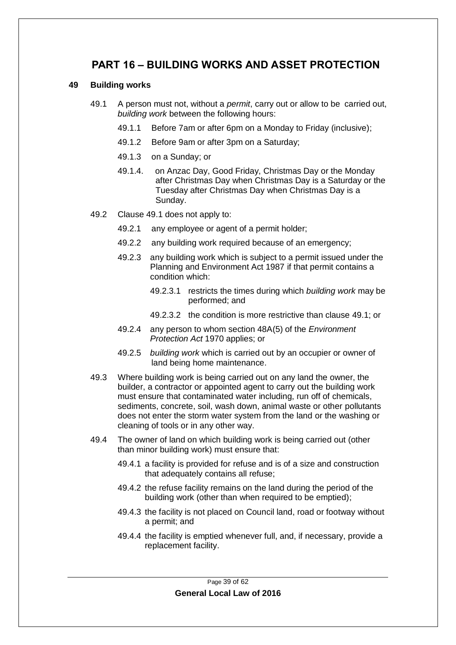## <span id="page-38-0"></span>**PART 16 – BUILDING WORKS AND ASSET PROTECTION**

#### <span id="page-38-1"></span>**49 Building works**

- 49.1 A person must not, without a *permit*, carry out or allow to be carried out, *building work* between the following hours:
	- 49.1.1 Before 7am or after 6pm on a Monday to Friday (inclusive);
	- 49.1.2 Before 9am or after 3pm on a Saturday;
	- 49.1.3 on a Sunday; or
	- 49.1.4. on Anzac Day, Good Friday, Christmas Day or the Monday after Christmas Day when Christmas Day is a Saturday or the Tuesday after Christmas Day when Christmas Day is a Sunday.
- 49.2 Clause 49.1 does not apply to:
	- 49.2.1 any employee or agent of a permit holder;
	- 49.2.2 any building work required because of an emergency;
	- 49.2.3 any building work which is subject to a permit issued under the Planning and Environment Act 1987 if that permit contains a condition which:
		- 49.2.3.1 restricts the times during which *building work* may be performed; and
		- 49.2.3.2 the condition is more restrictive than clause 49.1; or
	- 49.2.4 any person to whom section 48A(5) of the *Environment Protection Act* 1970 applies; or
	- 49.2.5 *building work* which is carried out by an occupier or owner of land being home maintenance.
- 49.3 Where building work is being carried out on any land the owner, the builder, a contractor or appointed agent to carry out the building work must ensure that contaminated water including, run off of chemicals, sediments, concrete, soil, wash down, animal waste or other pollutants does not enter the storm water system from the land or the washing or cleaning of tools or in any other way.
- 49.4 The owner of land on which building work is being carried out (other than minor building work) must ensure that:
	- 49.4.1 a facility is provided for refuse and is of a size and construction that adequately contains all refuse;
	- 49.4.2 the refuse facility remains on the land during the period of the building work (other than when required to be emptied);
	- 49.4.3 the facility is not placed on Council land, road or footway without a permit; and
	- 49.4.4 the facility is emptied whenever full, and, if necessary, provide a replacement facility.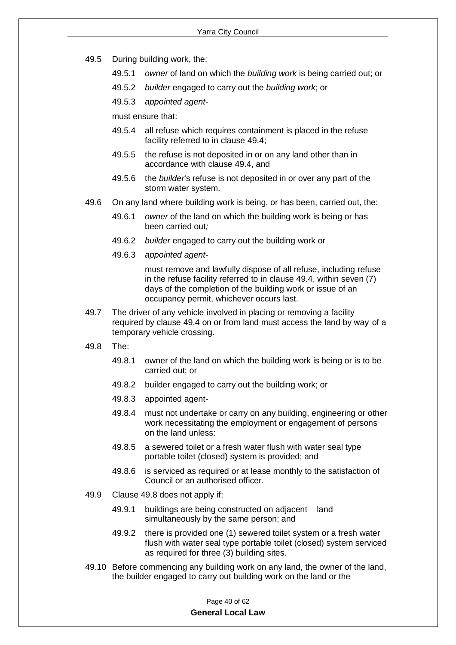- 49.5 During building work, the:
	- 49.5.1 *owner* of land on which the *building work* is being carried out; or
	- 49.5.2 *builder* engaged to carry out the *building work*; or
	- 49.5.3 *appointed agent*-

must ensure that:

- 49.5.4 all refuse which requires containment is placed in the refuse facility referred to in clause 49.4;
- 49.5.5 the refuse is not deposited in or on any land other than in accordance with clause 49.4, and
- 49.5.6 the *builder*'s refuse is not deposited in or over any part of the storm water system.
- 49.6 On any land where building work is being, or has been, carried out, the:
	- 49.6.1 *owner* of the land on which the building work is being or has been carried out*;*
	- 49.6.2 *builder* engaged to carry out the building work or
	- 49.6.3 *appointed agent-*

must remove and lawfully dispose of all refuse, including refuse in the refuse facility referred to in clause 49.4, within seven (7) days of the completion of the building work or issue of an occupancy permit, whichever occurs last.

- 49.7 The driver of any vehicle involved in placing or removing a facility required by clause 49.4 on or from land must access the land by way of a temporary vehicle crossing.
- 49.8 The:
	- 49.8.1 owner of the land on which the building work is being or is to be carried out; or
	- 49.8.2 builder engaged to carry out the building work; or
	- 49.8.3 appointed agent-
	- 49.8.4 must not undertake or carry on any building, engineering or other work necessitating the employment or engagement of persons on the land unless:
	- 49.8.5 a sewered toilet or a fresh water flush with water seal type portable toilet (closed) system is provided; and
	- 49.8.6 is serviced as required or at lease monthly to the satisfaction of Council or an authorised officer.
- 49.9 Clause 49.8 does not apply if:
	- 49.9.1 buildings are being constructed on adjacent land simultaneously by the same person; and
	- 49.9.2 there is provided one (1) sewered toilet system or a fresh water flush with water seal type portable toilet (closed) system serviced as required for three (3) building sites.
- 49.10 Before commencing any building work on any land, the owner of the land, the builder engaged to carry out building work on the land or the

Page 40 of 62 **General Local Law**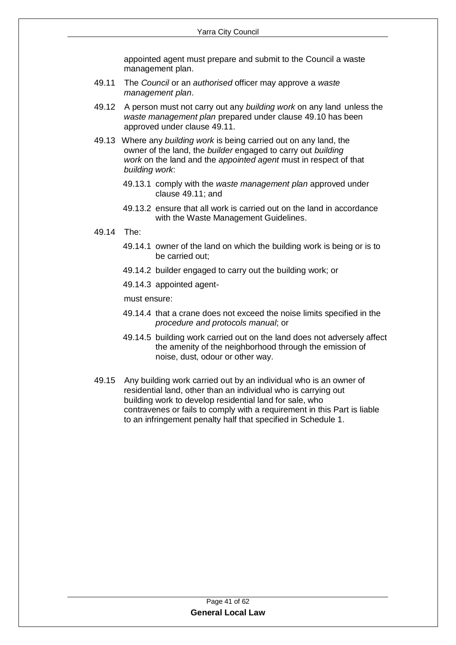appointed agent must prepare and submit to the Council a waste management plan.

- 49.11 The *Council* or an *authorised* officer may approve a *waste management plan*.
- 49.12 A person must not carry out any *building work* on any land unless the *waste management plan* prepared under clause 49.10 has been approved under clause 49.11.
- 49.13 Where any *building work* is being carried out on any land, the owner of the land, the *builder* engaged to carry out *building work* on the land and the *appointed agent* must in respect of that *building work*:
	- 49.13.1 comply with the *waste management plan* approved under clause 49.11; and
	- 49.13.2 ensure that all work is carried out on the land in accordance with the Waste Management Guidelines.
- 49.14 The:
	- 49.14.1 owner of the land on which the building work is being or is to be carried out;
	- 49.14.2 builder engaged to carry out the building work; or
	- 49.14.3 appointed agent-

must ensure:

- 49.14.4 that a crane does not exceed the noise limits specified in the *procedure and protocols manual*; or
- 49.14.5 building work carried out on the land does not adversely affect the amenity of the neighborhood through the emission of noise, dust, odour or other way.
- 49.15 Any building work carried out by an individual who is an owner of residential land, other than an individual who is carrying out building work to develop residential land for sale, who contravenes or fails to comply with a requirement in this Part is liable to an infringement penalty half that specified in Schedule 1.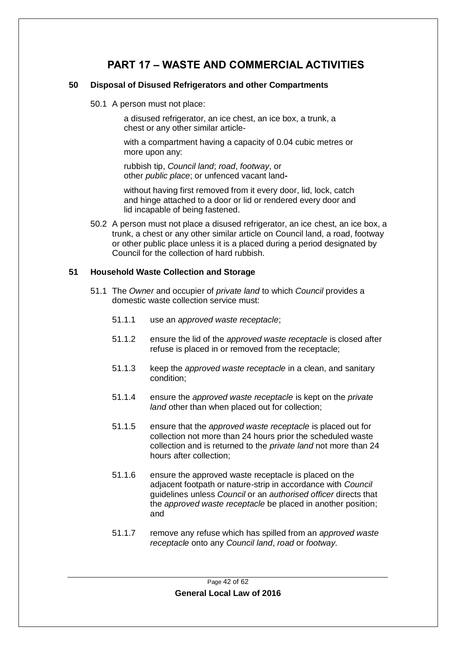## **PART 17 – WASTE AND COMMERCIAL ACTIVITIES**

#### <span id="page-41-1"></span><span id="page-41-0"></span>**50 Disposal of Disused Refrigerators and other Compartments**

50.1 A person must not place:

a disused refrigerator, an ice chest, an ice box, a trunk, a chest or any other similar article-

with a compartment having a capacity of 0.04 cubic metres or more upon any:

 rubbish tip, *Council land*; *road*, *footway*, or other *public place*; or unfenced vacant land**-**

without having first removed from it every door, lid, lock, catch and hinge attached to a door or lid or rendered every door and lid incapable of being fastened.

50.2 A person must not place a disused refrigerator, an ice chest, an ice box, a trunk, a chest or any other similar article on Council land, a road, footway or other public place unless it is a placed during a period designated by Council for the collection of hard rubbish.

#### <span id="page-41-2"></span>**51 Household Waste Collection and Storage**

- 51.1 The *Owner* and occupier of *private land* to which *Council* provides a domestic waste collection service must:
	- 51.1.1 use an *approved waste receptacle*;
	- 51.1.2 ensure the lid of the *approved waste receptacle* is closed after refuse is placed in or removed from the receptacle;
	- 51.1.3 keep the *approved waste receptacle* in a clean, and sanitary condition;
	- 51.1.4 ensure the *approved waste receptacle* is kept on the *private land* other than when placed out for collection;
	- 51.1.5 ensure that the *approved waste receptacle* is placed out for collection not more than 24 hours prior the scheduled waste collection and is returned to the *private land* not more than 24 hours after collection;
	- 51.1.6 ensure the approved waste receptacle is placed on the adjacent footpath or nature-strip in accordance with *Council* guidelines unless *Council* or an *authorised officer* directs that the *approved waste receptacle* be placed in another position; and
	- 51.1.7 remove any refuse which has spilled from an *approved waste receptacle* onto any *Council land*, *road* or *footway.*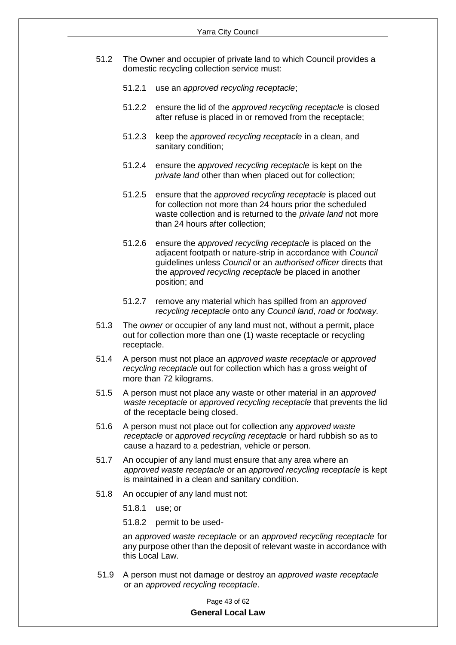- 51.2 The Owner and occupier of private land to which Council provides a domestic recycling collection service must:
	- 51.2.1 use an *approved recycling receptacle*;
	- 51.2.2 ensure the lid of the *approved recycling receptacle* is closed after refuse is placed in or removed from the receptacle;
	- 51.2.3 keep the *approved recycling receptacle* in a clean, and sanitary condition;
	- 51.2.4 ensure the *approved recycling receptacle* is kept on the *private land* other than when placed out for collection;
	- 51.2.5 ensure that the *approved recycling receptacle* is placed out for collection not more than 24 hours prior the scheduled waste collection and is returned to the *private land* not more than 24 hours after collection;
	- 51.2.6 ensure the *approved recycling receptacle* is placed on the adjacent footpath or nature-strip in accordance with *Council* guidelines unless *Council* or an *authorised officer* directs that the *approved recycling receptacle* be placed in another position; and
	- 51.2.7 remove any material which has spilled from an *approved recycling receptacle* onto any *Council land*, *road* or *footway.*
- 51.3 The *owner* or occupier of any land must not, without a permit, place out for collection more than one (1) waste receptacle or recycling receptacle.
- 51.4 A person must not place an *approved waste receptacle* or *approved recycling receptacle* out for collection which has a gross weight of more than 72 kilograms.
- 51.5 A person must not place any waste or other material in an *approved waste receptacle* or *approved recycling receptacle* that prevents the lid of the receptacle being closed.
- 51.6 A person must not place out for collection any *approved waste receptacle* or *approved recycling receptacle* or hard rubbish so as to cause a hazard to a pedestrian, vehicle or person.
- 51.7 An occupier of any land must ensure that any area where an *approved waste receptacle* or an *approved recycling receptacle* is kept is maintained in a clean and sanitary condition.
- 51.8 An occupier of any land must not:
	- 51.8.1 use; or
	- 51.8.2 permit to be used-

an *approved waste receptacle* or an *approved recycling receptacle* for any purpose other than the deposit of relevant waste in accordance with this Local Law.

51.9 A person must not damage or destroy an *approved waste receptacle* or an *approved recycling receptacle.*

#### Page 43 of 62 **General Local Law**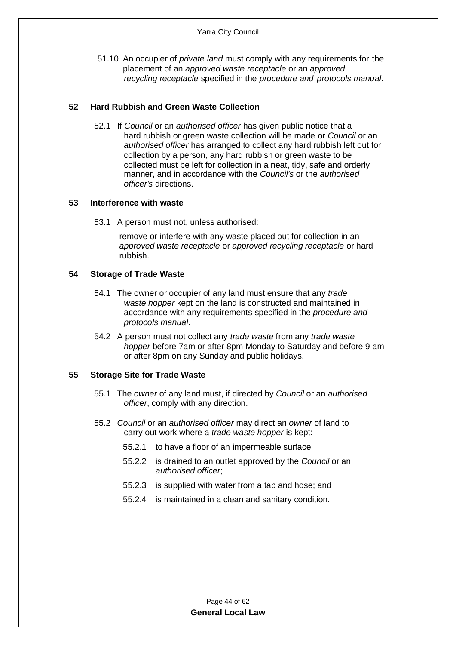51.10 An occupier of *private land* must comply with any requirements for the placement of an *approved waste receptacle* or an *approved recycling receptacle* specified in the *procedure and protocols manual*.

#### <span id="page-43-0"></span>**52 Hard Rubbish and Green Waste Collection**

52.1 If *Council* or an *authorised officer* has given public notice that a hard rubbish or green waste collection will be made or *Council* or an *authorised officer* has arranged to collect any hard rubbish left out for collection by a person, any hard rubbish or green waste to be collected must be left for collection in a neat, tidy, safe and orderly manner, and in accordance with the *Council's* or the *authorised officer's* directions.

#### <span id="page-43-1"></span>**53 Interference with waste**

53.1 A person must not, unless authorised:

remove or interfere with any waste placed out for collection in an *approved waste receptacle* or *approved recycling receptacle* or hard rubbish.

#### <span id="page-43-2"></span>**54 Storage of Trade Waste**

- 54.1 The owner or occupier of any land must ensure that any *trade waste hopper* kept on the land is constructed and maintained in accordance with any requirements specified in the *procedure and protocols manual*.
- 54.2 A person must not collect any *trade waste* from any *trade waste hopper* before 7am or after 8pm Monday to Saturday and before 9 am or after 8pm on any Sunday and public holidays.

#### <span id="page-43-3"></span>**55 Storage Site for Trade Waste**

- 55.1 The *owner* of any land must, if directed by *Council* or an *authorised officer*, comply with any direction.
- 55.2 *Council* or an *authorised officer* may direct an *owner* of land to carry out work where a *trade waste hopper* is kept:
	- 55.2.1 to have a floor of an impermeable surface;
	- 55.2.2 is drained to an outlet approved by the *Council* or an *authorised officer*;
	- 55.2.3 is supplied with water from a tap and hose; and
	- 55.2.4 is maintained in a clean and sanitary condition.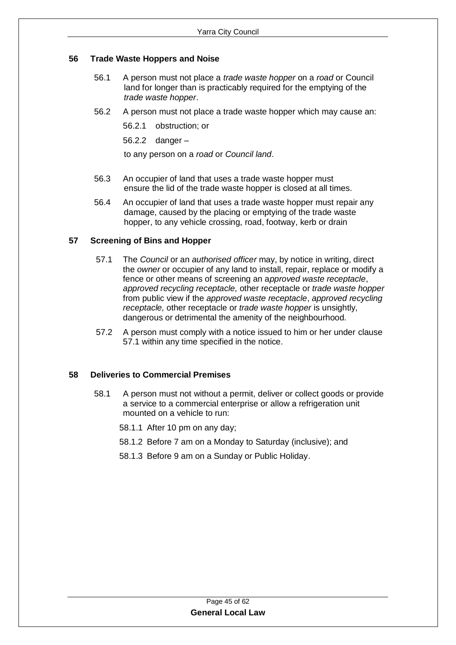#### <span id="page-44-0"></span>**56 Trade Waste Hoppers and Noise**

- 56.1 A person must not place a *trade waste hopper* on a *road* or Council land for longer than is practicably required for the emptying of the *trade waste hopper*.
- 56.2 A person must not place a trade waste hopper which may cause an:

56.2.1 obstruction; or

56.2.2 danger –

to any person on a *road* or *Council land*.

- 56.3 An occupier of land that uses a trade waste hopper must ensure the lid of the trade waste hopper is closed at all times.
- 56.4 An occupier of land that uses a trade waste hopper must repair any damage, caused by the placing or emptying of the trade waste hopper, to any vehicle crossing, road, footway, kerb or drain

#### <span id="page-44-1"></span>**57 Screening of Bins and Hopper**

- 57.1 The *Council* or an *authorised officer* may, by notice in writing, direct the *owner* or occupier of any land to install, repair, replace or modify a fence or other means of screening an a*pproved waste receptacle*, *approved recycling receptacle,* other receptacle or *trade waste hopper* from public view if the *approved waste receptacle*, *approved recycling receptacle,* other receptacle or *trade waste hopper* is unsightly, dangerous or detrimental the amenity of the neighbourhood.
- 57.2 A person must comply with a notice issued to him or her under clause 57.1 within any time specified in the notice.

#### **58 Deliveries to Commercial Premises**

- 58.1 A person must not without a permit, deliver or collect goods or provide a service to a commercial enterprise or allow a refrigeration unit mounted on a vehicle to run:
	- 58.1.1 After 10 pm on any day;
	- 58.1.2 Before 7 am on a Monday to Saturday (inclusive); and
	- 58.1.3 Before 9 am on a Sunday or Public Holiday.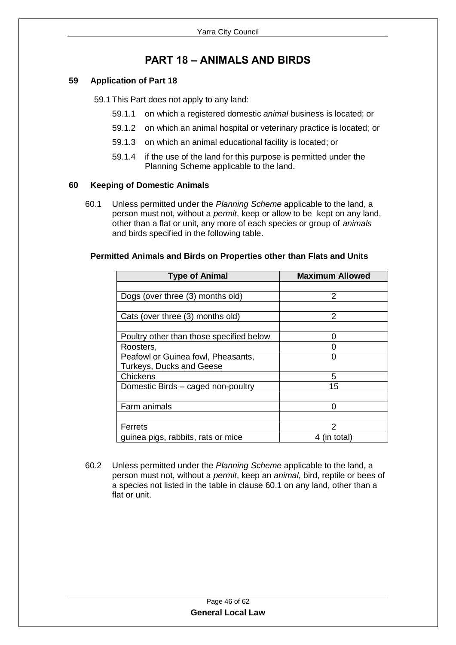## **PART 18 – ANIMALS AND BIRDS**

#### <span id="page-45-1"></span><span id="page-45-0"></span>**59 Application of Part 18**

59.1 This Part does not apply to any land:

- 59.1.1 on which a registered domestic *animal* business is located; or
- 59.1.2 on which an animal hospital or veterinary practice is located; or
- 59.1.3 on which an animal educational facility is located; or
- 59.1.4 if the use of the land for this purpose is permitted under the Planning Scheme applicable to the land.

#### <span id="page-45-2"></span>**60 Keeping of Domestic Animals**

60.1 Unless permitted under the *Planning Scheme* applicable to the land, a person must not, without a *permit*, keep or allow to be kept on any land, other than a flat or unit, any more of each species or group of *animals* and birds specified in the following table.

| <b>Type of Animal</b>                    | <b>Maximum Allowed</b> |
|------------------------------------------|------------------------|
|                                          |                        |
| Dogs (over three (3) months old)         | 2                      |
|                                          |                        |
| Cats (over three (3) months old)         | 2                      |
|                                          |                        |
| Poultry other than those specified below | O                      |
| Roosters,                                |                        |
| Peafowl or Guinea fowl, Pheasants,       | O                      |
| <b>Turkeys, Ducks and Geese</b>          |                        |
| <b>Chickens</b>                          | 5                      |
| Domestic Birds - caged non-poultry       | 15                     |
|                                          |                        |
| Farm animals                             |                        |
|                                          |                        |
| <b>Ferrets</b>                           | 2                      |
| guinea pigs, rabbits, rats or mice       | 4 (in total)           |

#### **Permitted Animals and Birds on Properties other than Flats and Units**

60.2 Unless permitted under the *Planning Scheme* applicable to the land, a person must not, without a *permit*, keep an *animal*, bird, reptile or bees of a species not listed in the table in clause 60.1 on any land, other than a flat or unit.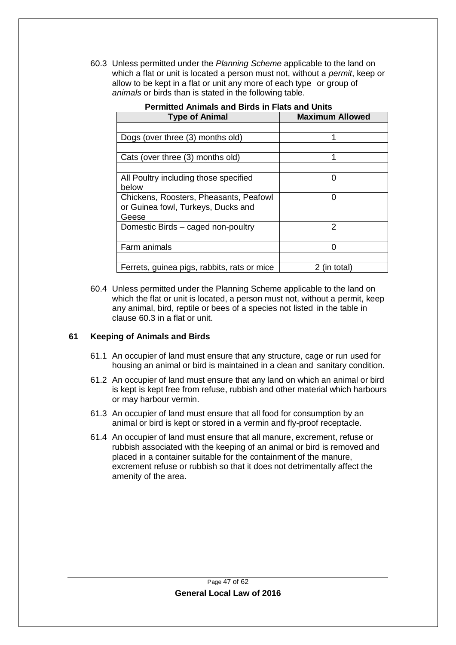60.3 Unless permitted under the *Planning Scheme* applicable to the land on which a flat or unit is located a person must not, without a *permit*, keep or allow to be kept in a flat or unit any more of each type or group of *animals* or birds than is stated in the following table.

| aio ana Dirao in Fiato ana<br><b>Maximum Allowed</b> |            |  |
|------------------------------------------------------|------------|--|
| <b>Type of Animal</b>                                |            |  |
|                                                      |            |  |
| Dogs (over three (3) months old)                     | 1          |  |
|                                                      |            |  |
| Cats (over three (3) months old)                     |            |  |
|                                                      |            |  |
| All Poultry including those specified                | O          |  |
| below                                                |            |  |
| Chickens, Roosters, Pheasants, Peafowl               | O          |  |
| or Guinea fowl, Turkeys, Ducks and                   |            |  |
| Geese                                                |            |  |
| Domestic Birds - caged non-poultry                   | 2          |  |
|                                                      |            |  |
| Farm animals                                         |            |  |
|                                                      |            |  |
| Ferrets, guinea pigs, rabbits, rats or mice          | (in total) |  |

**Permitted Animals and Birds in Flats and Units**

60.4 Unless permitted under the Planning Scheme applicable to the land on which the flat or unit is located, a person must not, without a permit, keep any animal, bird, reptile or bees of a species not listed in the table in clause 60.3 in a flat or unit.

#### <span id="page-46-0"></span>**61 Keeping of Animals and Birds**

- 61.1 An occupier of land must ensure that any structure, cage or run used for housing an animal or bird is maintained in a clean and sanitary condition.
- 61.2 An occupier of land must ensure that any land on which an animal or bird is kept is kept free from refuse, rubbish and other material which harbours or may harbour vermin.
- 61.3 An occupier of land must ensure that all food for consumption by an animal or bird is kept or stored in a vermin and fly-proof receptacle.
- 61.4 An occupier of land must ensure that all manure, excrement, refuse or rubbish associated with the keeping of an animal or bird is removed and placed in a container suitable for the containment of the manure, excrement refuse or rubbish so that it does not detrimentally affect the amenity of the area.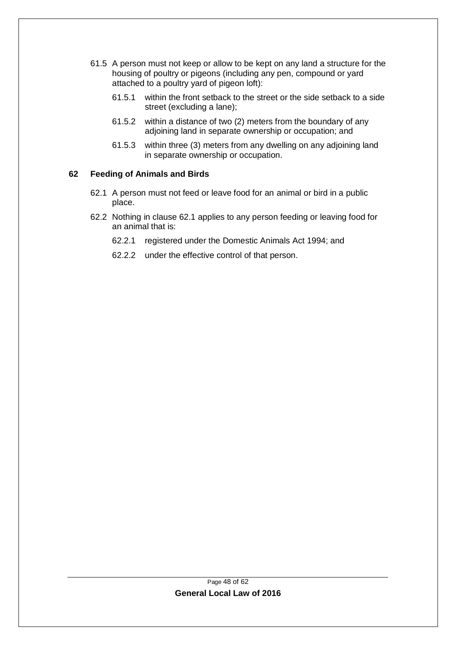- 61.5 A person must not keep or allow to be kept on any land a structure for the housing of poultry or pigeons (including any pen, compound or yard attached to a poultry yard of pigeon loft):
	- 61.5.1 within the front setback to the street or the side setback to a side street (excluding a lane);
	- 61.5.2 within a distance of two (2) meters from the boundary of any adjoining land in separate ownership or occupation; and
	- 61.5.3 within three (3) meters from any dwelling on any adjoining land in separate ownership or occupation.

#### <span id="page-47-1"></span><span id="page-47-0"></span>**62 Feeding of Animals and Birds**

- 62.1 A person must not feed or leave food for an animal or bird in a public place.
- 62.2 Nothing in clause [62.1](#page-47-1) applies to any person feeding or leaving food for an animal that is:
	- 62.2.1 registered under the Domestic Animals Act 1994; and
	- 62.2.2 under the effective control of that person.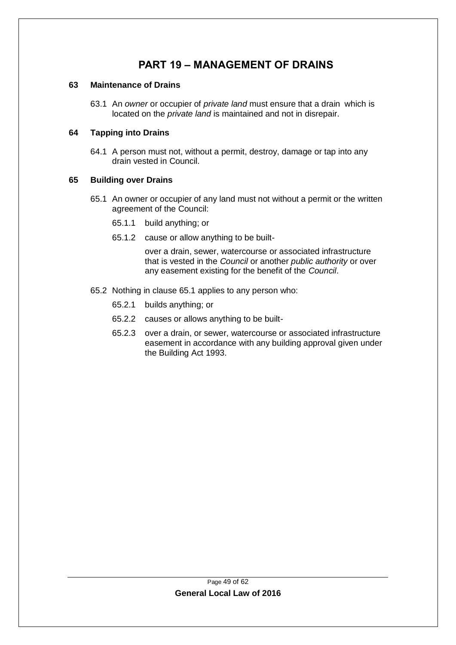## **PART 19 – MANAGEMENT OF DRAINS**

#### <span id="page-48-1"></span><span id="page-48-0"></span>**63 Maintenance of Drains**

63.1 An *owner* or occupier of *private land* must ensure that a drain which is located on the *private land* is maintained and not in disrepair.

#### <span id="page-48-2"></span>**64 Tapping into Drains**

64.1 A person must not, without a permit, destroy, damage or tap into any drain vested in Council.

#### <span id="page-48-4"></span><span id="page-48-3"></span>**65 Building over Drains**

- 65.1 An owner or occupier of any land must not without a permit or the written agreement of the Council:
	- 65.1.1 build anything; or
	- 65.1.2 cause or allow anything to be built-

over a drain, sewer, watercourse or associated infrastructure that is vested in the *Council* or another *public authority* or over any easement existing for the benefit of the *Council*.

- 65.2 Nothing in clause [65.1](#page-48-4) applies to any person who:
	- 65.2.1 builds anything; or
	- 65.2.2 causes or allows anything to be built-
	- 65.2.3 over a drain, or sewer, watercourse or associated infrastructure easement in accordance with any building approval given under the Building Act 1993.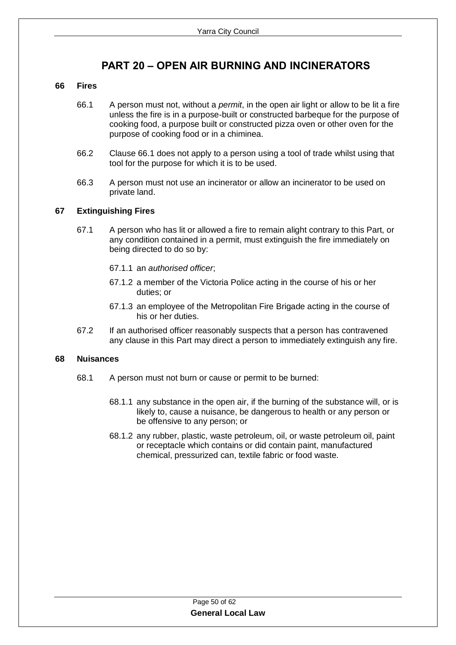## **PART 20 – OPEN AIR BURNING AND INCINERATORS**

#### <span id="page-49-1"></span><span id="page-49-0"></span>**66 Fires**

- 66.1 A person must not, without a *permit*, in the open air light or allow to be lit a fire unless the fire is in a purpose-built or constructed barbeque for the purpose of cooking food, a purpose built or constructed pizza oven or other oven for the purpose of cooking food or in a chiminea.
- 66.2 Clause 66.1 does not apply to a person using a tool of trade whilst using that tool for the purpose for which it is to be used.
- 66.3 A person must not use an incinerator or allow an incinerator to be used on private land.

#### <span id="page-49-2"></span>**67 Extinguishing Fires**

- 67.1 A person who has lit or allowed a fire to remain alight contrary to this Part, or any condition contained in a permit, must extinguish the fire immediately on being directed to do so by:
	- 67.1.1 an *authorised officer*;
	- 67.1.2 a member of the Victoria Police acting in the course of his or her duties; or
	- 67.1.3 an employee of the Metropolitan Fire Brigade acting in the course of his or her duties.
- 67.2 If an authorised officer reasonably suspects that a person has contravened any clause in this Part may direct a person to immediately extinguish any fire.

#### <span id="page-49-3"></span>**68 Nuisances**

- 68.1 A person must not burn or cause or permit to be burned:
	- 68.1.1 any substance in the open air, if the burning of the substance will, or is likely to, cause a nuisance, be dangerous to health or any person or be offensive to any person; or
	- 68.1.2 any rubber, plastic, waste petroleum, oil, or waste petroleum oil, paint or receptacle which contains or did contain paint, manufactured chemical, pressurized can, textile fabric or food waste.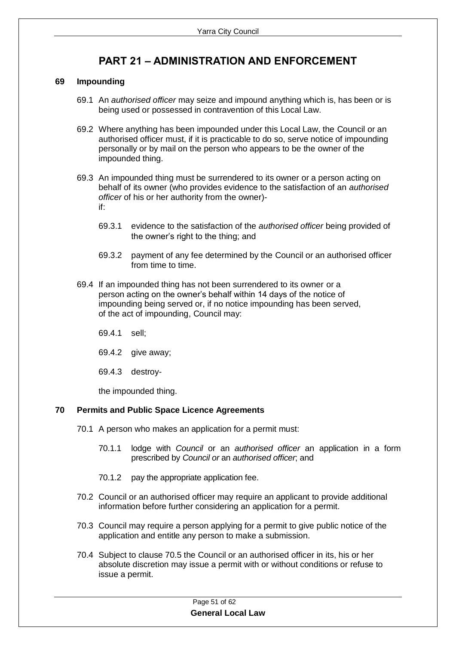## **PART 21 – ADMINISTRATION AND ENFORCEMENT**

#### <span id="page-50-1"></span><span id="page-50-0"></span>**69 Impounding**

- 69.1 An *authorised officer* may seize and impound anything which is, has been or is being used or possessed in contravention of this Local Law.
- 69.2 Where anything has been impounded under this Local Law, the Council or an authorised officer must, if it is practicable to do so, serve notice of impounding personally or by mail on the person who appears to be the owner of the impounded thing.
- 69.3 An impounded thing must be surrendered to its owner or a person acting on behalf of its owner (who provides evidence to the satisfaction of an *authorised officer* of his or her authority from the owner) if:
	- 69.3.1 evidence to the satisfaction of the *authorised officer* being provided of the owner's right to the thing; and
	- 69.3.2 payment of any fee determined by the Council or an authorised officer from time to time.
- 69.4 If an impounded thing has not been surrendered to its owner or a person acting on the owner's behalf within 14 days of the notice of impounding being served or, if no notice impounding has been served, of the act of impounding, Council may:
	- 69.4.1 sell;
	- 69.4.2 give away;
	- 69.4.3 destroy-

the impounded thing.

#### <span id="page-50-2"></span>**70 Permits and Public Space Licence Agreements**

- 70.1 A person who makes an application for a permit must:
	- 70.1.1 lodge with *Council* or an *authorised officer* an application in a form prescribed by *Council or* an *authorised officer*; and
	- 70.1.2 pay the appropriate application fee.
- 70.2 Council or an authorised officer may require an applicant to provide additional information before further considering an application for a permit.
- 70.3 Council may require a person applying for a permit to give public notice of the application and entitle any person to make a submission.
- 70.4 Subject to clause 70.5 the Council or an authorised officer in its, his or her absolute discretion may issue a permit with or without conditions or refuse to issue a permit.

Page 51 of 62 **General Local Law**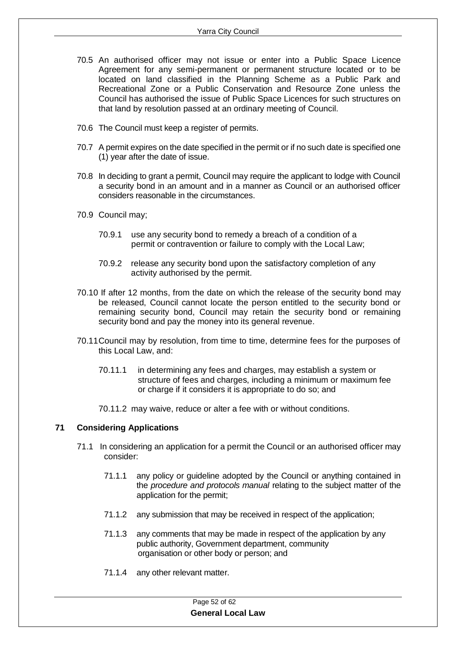- 70.5 An authorised officer may not issue or enter into a Public Space Licence Agreement for any semi-permanent or permanent structure located or to be located on land classified in the Planning Scheme as a Public Park and Recreational Zone or a Public Conservation and Resource Zone unless the Council has authorised the issue of Public Space Licences for such structures on that land by resolution passed at an ordinary meeting of Council.
- 70.6 The Council must keep a register of permits.
- 70.7 A permit expires on the date specified in the permit or if no such date is specified one (1) year after the date of issue.
- 70.8 In deciding to grant a permit, Council may require the applicant to lodge with Council a security bond in an amount and in a manner as Council or an authorised officer considers reasonable in the circumstances.
- 70.9 Council may;
	- 70.9.1 use any security bond to remedy a breach of a condition of a permit or contravention or failure to comply with the Local Law;
	- 70.9.2 release any security bond upon the satisfactory completion of any activity authorised by the permit.
- 70.10 If after 12 months, from the date on which the release of the security bond may be released, Council cannot locate the person entitled to the security bond or remaining security bond, Council may retain the security bond or remaining security bond and pay the money into its general revenue.
- 70.11Council may by resolution, from time to time, determine fees for the purposes of this Local Law, and:
	- 70.11.1 in determining any fees and charges, may establish a system or structure of fees and charges, including a minimum or maximum fee or charge if it considers it is appropriate to do so; and
	- 70.11.2 may waive, reduce or alter a fee with or without conditions.

#### <span id="page-51-0"></span>**71 Considering Applications**

- 71.1 In considering an application for a permit the Council or an authorised officer may consider:
	- 71.1.1 any policy or guideline adopted by the Council or anything contained in the *procedure and protocols manual* relating to the subject matter of the application for the permit;
	- 71.1.2 any submission that may be received in respect of the application;
	- 71.1.3 any comments that may be made in respect of the application by any public authority, Government department, community organisation or other body or person; and
	- 71.1.4 any other relevant matter.

#### Page 52 of 62 **General Local Law**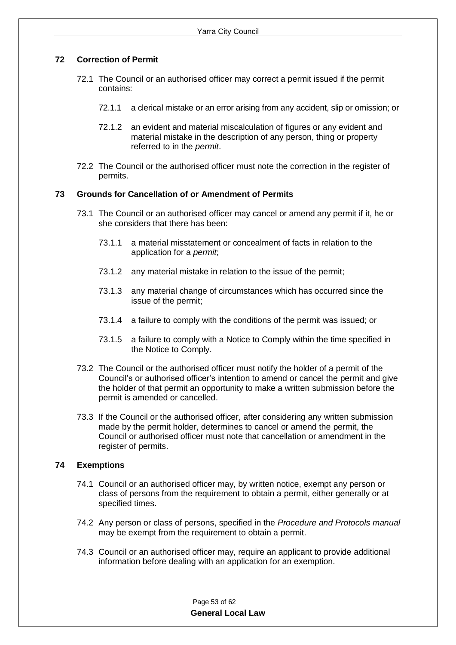#### <span id="page-52-0"></span>**72 Correction of Permit**

- 72.1 The Council or an authorised officer may correct a permit issued if the permit contains:
	- 72.1.1 a clerical mistake or an error arising from any accident, slip or omission; or
	- 72.1.2 an evident and material miscalculation of figures or any evident and material mistake in the description of any person, thing or property referred to in the *permit*.
- 72.2 The Council or the authorised officer must note the correction in the register of permits.

#### <span id="page-52-1"></span>**73 Grounds for Cancellation of or Amendment of Permits**

- 73.1 The Council or an authorised officer may cancel or amend any permit if it, he or she considers that there has been:
	- 73.1.1 a material misstatement or concealment of facts in relation to the application for a *permit*;
	- 73.1.2 any material mistake in relation to the issue of the permit;
	- 73.1.3 any material change of circumstances which has occurred since the issue of the permit;
	- 73.1.4 a failure to comply with the conditions of the permit was issued; or
	- 73.1.5 a failure to comply with a Notice to Comply within the time specified in the Notice to Comply.
- 73.2 The Council or the authorised officer must notify the holder of a permit of the Council's or authorised officer's intention to amend or cancel the permit and give the holder of that permit an opportunity to make a written submission before the permit is amended or cancelled.
- 73.3 If the Council or the authorised officer, after considering any written submission made by the permit holder, determines to cancel or amend the permit, the Council or authorised officer must note that cancellation or amendment in the register of permits.

#### <span id="page-52-2"></span>**74 Exemptions**

- 74.1 Council or an authorised officer may, by written notice, exempt any person or class of persons from the requirement to obtain a permit, either generally or at specified times.
- 74.2 Any person or class of persons, specified in the *Procedure and Protocols manual*  may be exempt from the requirement to obtain a permit.
- 74.3 Council or an authorised officer may, require an applicant to provide additional information before dealing with an application for an exemption.

| Page 53 of 62            |
|--------------------------|
| <b>General Local Law</b> |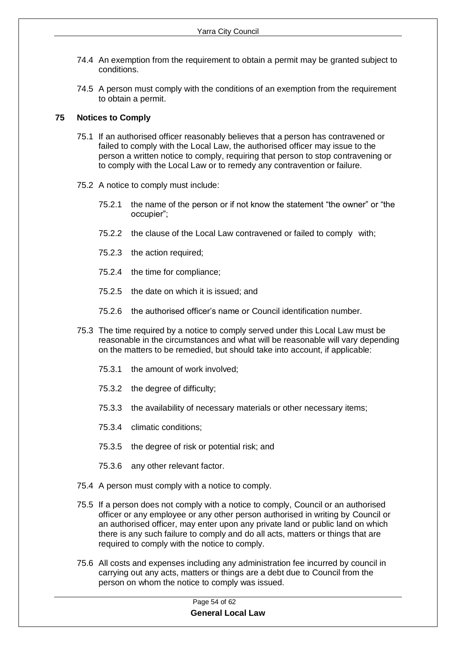- 74.4 An exemption from the requirement to obtain a permit may be granted subject to conditions.
- 74.5 A person must comply with the conditions of an exemption from the requirement to obtain a permit.

#### <span id="page-53-0"></span>**75 Notices to Comply**

- 75.1 If an authorised officer reasonably believes that a person has contravened or failed to comply with the Local Law, the authorised officer may issue to the person a written notice to comply, requiring that person to stop contravening or to comply with the Local Law or to remedy any contravention or failure.
- 75.2 A notice to comply must include:
	- 75.2.1 the name of the person or if not know the statement "the owner" or "the occupier";
	- 75.2.2 the clause of the Local Law contravened or failed to comply with;
	- 75.2.3 the action required;
	- 75.2.4 the time for compliance;
	- 75.2.5 the date on which it is issued; and
	- 75.2.6 the authorised officer's name or Council identification number.
- 75.3 The time required by a notice to comply served under this Local Law must be reasonable in the circumstances and what will be reasonable will vary depending on the matters to be remedied, but should take into account, if applicable:
	- 75.3.1 the amount of work involved;
	- 75.3.2 the degree of difficulty;
	- 75.3.3 the availability of necessary materials or other necessary items;
	- 75.3.4 climatic conditions;
	- 75.3.5 the degree of risk or potential risk; and
	- 75.3.6 any other relevant factor.
- 75.4 A person must comply with a notice to comply.
- 75.5 If a person does not comply with a notice to comply, Council or an authorised officer or any employee or any other person authorised in writing by Council or an authorised officer, may enter upon any private land or public land on which there is any such failure to comply and do all acts, matters or things that are required to comply with the notice to comply.
- 75.6 All costs and expenses including any administration fee incurred by council in carrying out any acts, matters or things are a debt due to Council from the person on whom the notice to comply was issued.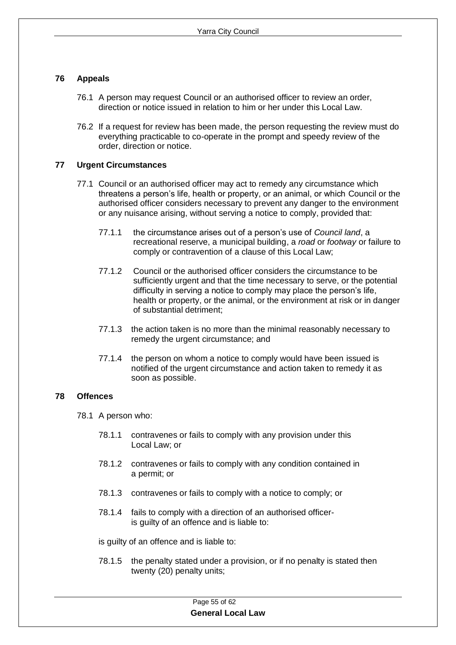#### **76 Appeals**

- 76.1 A person may request Council or an authorised officer to review an order, direction or notice issued in relation to him or her under this Local Law.
- 76.2 If a request for review has been made, the person requesting the review must do everything practicable to co-operate in the prompt and speedy review of the order, direction or notice.

#### <span id="page-54-0"></span>**77 Urgent Circumstances**

- 77.1 Council or an authorised officer may act to remedy any circumstance which threatens a person's life, health or property, or an animal, or which Council or the authorised officer considers necessary to prevent any danger to the environment or any nuisance arising, without serving a notice to comply, provided that:
	- 77.1.1 the circumstance arises out of a person's use of *Council land*, a recreational reserve, a municipal building, a *road* or *footway* or failure to comply or contravention of a clause of this Local Law;
	- 77.1.2 Council or the authorised officer considers the circumstance to be sufficiently urgent and that the time necessary to serve, or the potential difficulty in serving a notice to comply may place the person's life, health or property, or the animal, or the environment at risk or in danger of substantial detriment;
	- 77.1.3 the action taken is no more than the minimal reasonably necessary to remedy the urgent circumstance; and
	- 77.1.4 the person on whom a notice to comply would have been issued is notified of the urgent circumstance and action taken to remedy it as soon as possible.

#### <span id="page-54-1"></span>**78 Offences**

- 78.1 A person who:
	- 78.1.1 contravenes or fails to comply with any provision under this Local Law; or
	- 78.1.2 contravenes or fails to comply with any condition contained in a permit; or
	- 78.1.3 contravenes or fails to comply with a notice to comply; or
	- 78.1.4 fails to comply with a direction of an authorised officeris guilty of an offence and is liable to:

is guilty of an offence and is liable to:

78.1.5 the penalty stated under a provision, or if no penalty is stated then twenty (20) penalty units;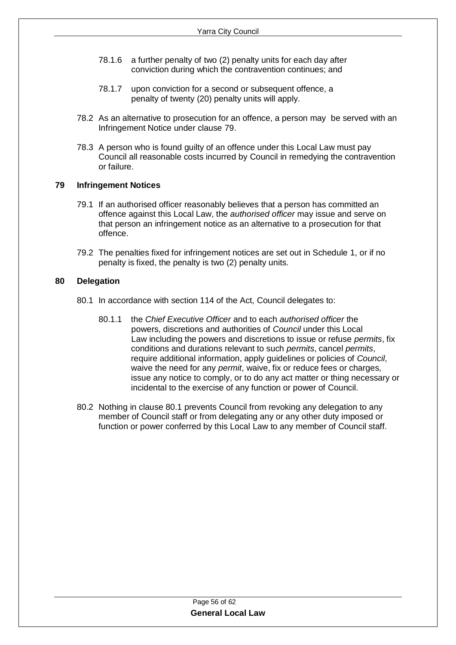- 78.1.6 a further penalty of two (2) penalty units for each day after conviction during which the contravention continues; and
- 78.1.7 upon conviction for a second or subsequent offence, a penalty of twenty (20) penalty units will apply.
- 78.2 As an alternative to prosecution for an offence, a person may be served with an Infringement Notice under clause 79.
- 78.3 A person who is found guilty of an offence under this Local Law must pay Council all reasonable costs incurred by Council in remedying the contravention or failure.

#### <span id="page-55-0"></span>**79 Infringement Notices**

- 79.1 If an authorised officer reasonably believes that a person has committed an offence against this Local Law, the *authorised officer* may issue and serve on that person an infringement notice as an alternative to a prosecution for that offence.
- 79.2 The penalties fixed for infringement notices are set out in Schedule 1, or if no penalty is fixed, the penalty is two (2) penalty units.

#### <span id="page-55-1"></span>**80 Delegation**

- 80.1 In accordance with section 114 of the Act, Council delegates to:
	- 80.1.1 the *Chief Executive Officer* and to each *authorised officer* the powers, discretions and authorities of *Council* under this Local Law including the powers and discretions to issue or refuse *permits*, fix conditions and durations relevant to such *permits*, cancel *permits*, require additional information, apply guidelines or policies of *Council*, waive the need for any *permit*, waive, fix or reduce fees or charges, issue any notice to comply, or to do any act matter or thing necessary or incidental to the exercise of any function or power of Council.
- 80.2 Nothing in clause 80.1 prevents Council from revoking any delegation to any member of Council staff or from delegating any or any other duty imposed or function or power conferred by this Local Law to any member of Council staff.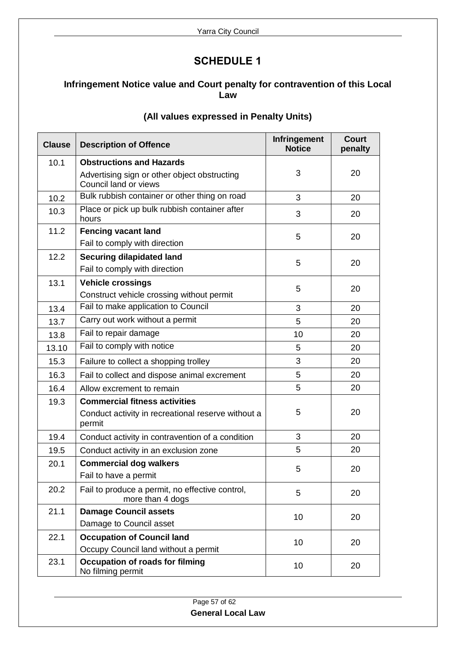## **SCHEDULE 1**

## <span id="page-56-0"></span>**Infringement Notice value and Court penalty for contravention of this Local Law**

| <b>Clause</b> | <b>Description of Offence</b>                                         | <b>Infringement</b><br><b>Notice</b> | <b>Court</b><br>penalty |
|---------------|-----------------------------------------------------------------------|--------------------------------------|-------------------------|
| 10.1          | <b>Obstructions and Hazards</b>                                       |                                      |                         |
|               | Advertising sign or other object obstructing<br>Council land or views | 3                                    | 20                      |
| 10.2          | Bulk rubbish container or other thing on road                         | 3                                    | 20                      |
| 10.3          | Place or pick up bulk rubbish container after<br>hours                | 3                                    | 20                      |
| 11.2          | <b>Fencing vacant land</b>                                            | 5                                    | 20                      |
|               | Fail to comply with direction                                         |                                      |                         |
| 12.2          | <b>Securing dilapidated land</b>                                      | 5                                    | 20                      |
|               | Fail to comply with direction                                         |                                      |                         |
| 13.1          | <b>Vehicle crossings</b>                                              | 5                                    | 20                      |
|               | Construct vehicle crossing without permit                             |                                      |                         |
| 13.4          | Fail to make application to Council                                   | 3                                    | 20                      |
| 13.7          | Carry out work without a permit                                       | 5                                    | 20                      |
| 13.8          | Fail to repair damage                                                 | 10                                   | 20                      |
| 13.10         | Fail to comply with notice                                            | 5                                    | 20                      |
| 15.3          | Failure to collect a shopping trolley                                 | 3                                    | 20                      |
| 16.3          | Fail to collect and dispose animal excrement                          | 5                                    | 20                      |
| 16.4          | Allow excrement to remain                                             | 5                                    | 20                      |
| 19.3          | <b>Commercial fitness activities</b>                                  |                                      |                         |
|               | Conduct activity in recreational reserve without a<br>permit          | 5                                    | 20                      |
| 19.4          | Conduct activity in contravention of a condition                      | 3                                    | 20                      |
| 19.5          | Conduct activity in an exclusion zone                                 | 5                                    | 20                      |
| 20.1          | <b>Commercial dog walkers</b>                                         | 5                                    | 20                      |
|               | Fail to have a permit                                                 |                                      |                         |
| 20.2          | Fail to produce a permit, no effective control,<br>more than 4 dogs   | 5                                    | 20                      |
| 21.1          | <b>Damage Council assets</b>                                          | 10                                   | 20                      |
|               | Damage to Council asset                                               |                                      |                         |
| 22.1          | <b>Occupation of Council land</b>                                     | 10                                   | 20                      |
|               | Occupy Council land without a permit                                  |                                      |                         |
| 23.1          | <b>Occupation of roads for filming</b><br>No filming permit           | 10                                   | 20                      |

## **(All values expressed in Penalty Units)**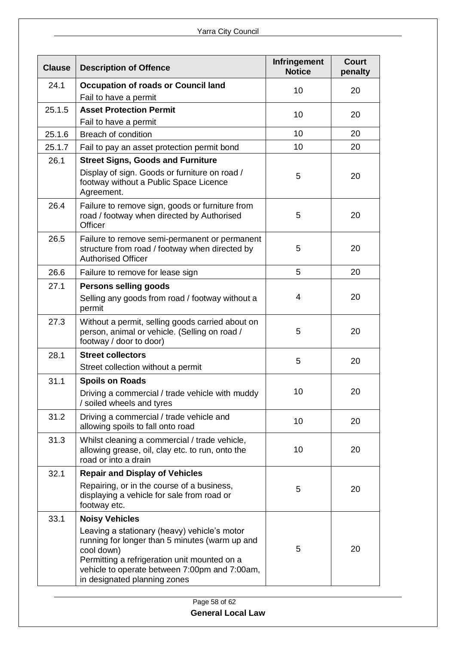| <b>Clause</b> | <b>Description of Offence</b>                                                                                                                                                                                                                 | <b>Infringement</b><br><b>Notice</b> | <b>Court</b><br>penalty |
|---------------|-----------------------------------------------------------------------------------------------------------------------------------------------------------------------------------------------------------------------------------------------|--------------------------------------|-------------------------|
| 24.1          | <b>Occupation of roads or Council land</b>                                                                                                                                                                                                    | 10                                   | 20                      |
|               | Fail to have a permit                                                                                                                                                                                                                         |                                      |                         |
| 25.1.5        | <b>Asset Protection Permit</b>                                                                                                                                                                                                                | 10                                   | 20                      |
|               | Fail to have a permit                                                                                                                                                                                                                         |                                      |                         |
| 25.1.6        | <b>Breach of condition</b>                                                                                                                                                                                                                    | 10                                   | 20                      |
| 25.1.7        | Fail to pay an asset protection permit bond                                                                                                                                                                                                   | 10                                   | 20                      |
| 26.1          | <b>Street Signs, Goods and Furniture</b>                                                                                                                                                                                                      |                                      |                         |
|               | Display of sign. Goods or furniture on road /<br>footway without a Public Space Licence<br>Agreement.                                                                                                                                         | 5                                    | 20                      |
| 26.4          | Failure to remove sign, goods or furniture from<br>road / footway when directed by Authorised<br>Officer                                                                                                                                      | 5                                    | 20                      |
| 26.5          | Failure to remove semi-permanent or permanent<br>structure from road / footway when directed by<br><b>Authorised Officer</b>                                                                                                                  | 5                                    | 20                      |
| 26.6          | Failure to remove for lease sign                                                                                                                                                                                                              | 5                                    | 20                      |
| 27.1          | <b>Persons selling goods</b>                                                                                                                                                                                                                  |                                      |                         |
|               | Selling any goods from road / footway without a<br>permit                                                                                                                                                                                     | $\overline{4}$                       | 20                      |
| 27.3          | Without a permit, selling goods carried about on<br>person, animal or vehicle. (Selling on road /<br>footway / door to door)                                                                                                                  | 5                                    | 20                      |
| 28.1          | <b>Street collectors</b>                                                                                                                                                                                                                      | 5                                    | 20                      |
|               | Street collection without a permit                                                                                                                                                                                                            |                                      |                         |
| 31.1          | <b>Spoils on Roads</b>                                                                                                                                                                                                                        |                                      |                         |
|               | Driving a commercial / trade vehicle with muddy<br>/ soiled wheels and tyres                                                                                                                                                                  | 10                                   | 20                      |
| 31.2          | Driving a commercial / trade vehicle and<br>allowing spoils to fall onto road                                                                                                                                                                 | 10                                   | 20                      |
| 31.3          | Whilst cleaning a commercial / trade vehicle,<br>allowing grease, oil, clay etc. to run, onto the<br>road or into a drain                                                                                                                     | 10                                   | 20                      |
| 32.1          | <b>Repair and Display of Vehicles</b>                                                                                                                                                                                                         |                                      |                         |
|               | Repairing, or in the course of a business,<br>displaying a vehicle for sale from road or<br>footway etc.                                                                                                                                      | 5                                    | 20                      |
| 33.1          | <b>Noisy Vehicles</b>                                                                                                                                                                                                                         |                                      |                         |
|               | Leaving a stationary (heavy) vehicle's motor<br>running for longer than 5 minutes (warm up and<br>cool down)<br>Permitting a refrigeration unit mounted on a<br>vehicle to operate between 7:00pm and 7:00am,<br>in designated planning zones | 5                                    | 20                      |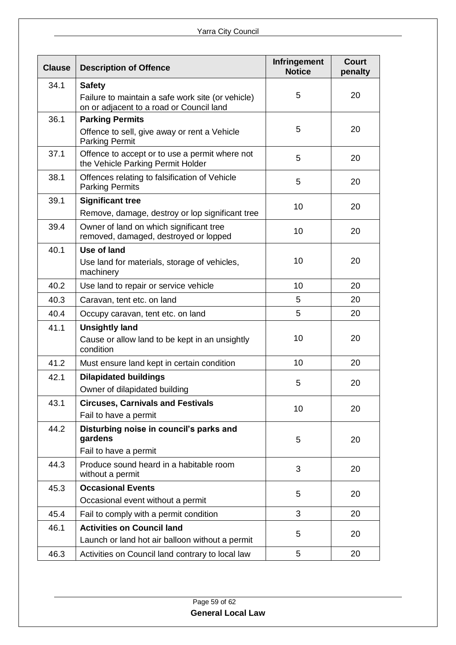| <b>Clause</b> | <b>Description of Offence</b>                                                                 | <b>Infringement</b><br><b>Notice</b> | <b>Court</b><br>penalty |
|---------------|-----------------------------------------------------------------------------------------------|--------------------------------------|-------------------------|
| 34.1          | <b>Safety</b>                                                                                 |                                      |                         |
|               | Failure to maintain a safe work site (or vehicle)<br>on or adjacent to a road or Council land | 5                                    | 20                      |
| 36.1          | <b>Parking Permits</b>                                                                        |                                      |                         |
|               | Offence to sell, give away or rent a Vehicle<br><b>Parking Permit</b>                         | 5                                    | 20                      |
| 37.1          | Offence to accept or to use a permit where not<br>the Vehicle Parking Permit Holder           | 5                                    | 20                      |
| 38.1          | Offences relating to falsification of Vehicle<br><b>Parking Permits</b>                       | 5                                    | 20                      |
| 39.1          | <b>Significant tree</b>                                                                       | 10                                   | 20                      |
|               | Remove, damage, destroy or lop significant tree                                               |                                      |                         |
| 39.4          | Owner of land on which significant tree<br>removed, damaged, destroyed or lopped              | 10                                   | 20                      |
| 40.1          | Use of land                                                                                   |                                      |                         |
|               | Use land for materials, storage of vehicles,<br>machinery                                     | 10                                   | 20                      |
| 40.2          | Use land to repair or service vehicle                                                         | 10                                   | 20                      |
| 40.3          | Caravan, tent etc. on land                                                                    | 5                                    | 20                      |
| 40.4          | Occupy caravan, tent etc. on land                                                             | 5                                    | 20                      |
| 41.1          | <b>Unsightly land</b>                                                                         |                                      |                         |
|               | Cause or allow land to be kept in an unsightly<br>condition                                   | 10                                   | 20                      |
| 41.2          | Must ensure land kept in certain condition                                                    | 10                                   | 20                      |
| 42.1          | <b>Dilapidated buildings</b>                                                                  | 5                                    | 20                      |
|               | Owner of dilapidated building                                                                 |                                      |                         |
| 43.1          | <b>Circuses, Carnivals and Festivals</b>                                                      | 10                                   | 20                      |
|               | Fail to have a permit                                                                         |                                      |                         |
| 44.2          | Disturbing noise in council's parks and<br>gardens<br>Fail to have a permit                   | 5                                    | 20                      |
| 44.3          | Produce sound heard in a habitable room<br>without a permit                                   | 3                                    | 20                      |
| 45.3          | <b>Occasional Events</b>                                                                      |                                      |                         |
|               | Occasional event without a permit                                                             | 5                                    | 20                      |
| 45.4          | Fail to comply with a permit condition                                                        | 3                                    | 20                      |
| 46.1          | <b>Activities on Council land</b>                                                             |                                      |                         |
|               | Launch or land hot air balloon without a permit                                               | 5                                    | 20                      |
| 46.3          | Activities on Council land contrary to local law                                              | 5                                    | 20                      |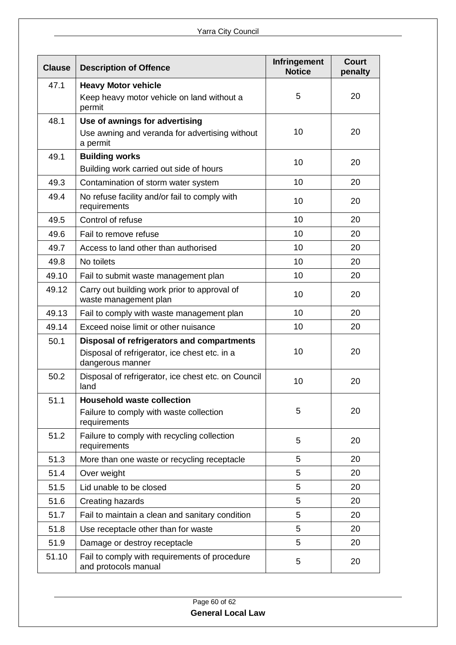| <b>Clause</b> | <b>Description of Offence</b>                                         | <b>Infringement</b><br><b>Notice</b> | <b>Court</b><br>penalty |
|---------------|-----------------------------------------------------------------------|--------------------------------------|-------------------------|
| 47.1          | <b>Heavy Motor vehicle</b>                                            |                                      |                         |
|               | Keep heavy motor vehicle on land without a<br>permit                  | 5                                    | 20                      |
| 48.1          | Use of awnings for advertising                                        |                                      |                         |
|               | Use awning and veranda for advertising without<br>a permit            | 10                                   | 20                      |
| 49.1          | <b>Building works</b>                                                 | 10                                   | 20                      |
|               | Building work carried out side of hours                               |                                      |                         |
| 49.3          | Contamination of storm water system                                   | 10                                   | 20                      |
| 49.4          | No refuse facility and/or fail to comply with<br>requirements         | 10                                   | 20                      |
| 49.5          | Control of refuse                                                     | 10                                   | 20                      |
| 49.6          | Fail to remove refuse                                                 | 10                                   | 20                      |
| 49.7          | Access to land other than authorised                                  | 10                                   | 20                      |
| 49.8          | No toilets                                                            | 10                                   | 20                      |
| 49.10         | Fail to submit waste management plan                                  | 10                                   | 20                      |
| 49.12         | Carry out building work prior to approval of<br>waste management plan | 10                                   | 20                      |
| 49.13         | Fail to comply with waste management plan                             | 10                                   | 20                      |
| 49.14         | Exceed noise limit or other nuisance                                  | 10                                   | 20                      |
| 50.1          | Disposal of refrigerators and compartments                            |                                      |                         |
|               | Disposal of refrigerator, ice chest etc. in a<br>dangerous manner     | 10                                   | 20                      |
| 50.2          | Disposal of refrigerator, ice chest etc. on Council<br>land           | 10                                   | 20                      |
| 51.1          | <b>Household waste collection</b>                                     |                                      |                         |
|               | Failure to comply with waste collection<br>requirements               | 5                                    | 20                      |
| 51.2          | Failure to comply with recycling collection<br>requirements           | 5                                    | 20                      |
| 51.3          | More than one waste or recycling receptacle                           | 5                                    | 20                      |
| 51.4          | Over weight                                                           | 5                                    | 20                      |
| 51.5          | Lid unable to be closed                                               | 5                                    | 20                      |
| 51.6          | Creating hazards                                                      | 5                                    | 20                      |
| 51.7          | Fail to maintain a clean and sanitary condition                       | 5                                    | 20                      |
| 51.8          | Use receptacle other than for waste                                   | 5                                    | 20                      |
| 51.9          | Damage or destroy receptacle                                          | 5                                    | 20                      |
| 51.10         | Fail to comply with requirements of procedure<br>and protocols manual | 5                                    | 20                      |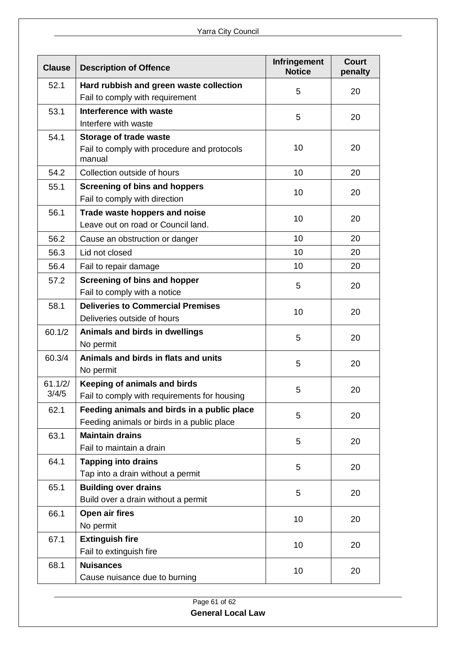| <b>Clause</b> | <b>Description of Offence</b>                         | Infringement<br><b>Notice</b> | <b>Court</b><br>penalty |
|---------------|-------------------------------------------------------|-------------------------------|-------------------------|
| 52.1          | Hard rubbish and green waste collection               | 5                             | 20                      |
|               | Fail to comply with requirement                       |                               |                         |
| 53.1          | Interference with waste                               | 5                             | 20                      |
|               | Interfere with waste                                  |                               |                         |
| 54.1          | Storage of trade waste                                |                               |                         |
|               | Fail to comply with procedure and protocols<br>manual | 10                            | 20                      |
| 54.2          | Collection outside of hours                           | 10                            | 20                      |
| 55.1          | <b>Screening of bins and hoppers</b>                  | 10                            | 20                      |
|               | Fail to comply with direction                         |                               |                         |
| 56.1          | Trade waste hoppers and noise                         | 10                            | 20                      |
|               | Leave out on road or Council land.                    |                               |                         |
| 56.2          | Cause an obstruction or danger                        | 10                            | 20                      |
| 56.3          | Lid not closed                                        | 10                            | 20                      |
| 56.4          | Fail to repair damage                                 | 10                            | 20                      |
| 57.2          | <b>Screening of bins and hopper</b>                   | 5                             | 20                      |
|               | Fail to comply with a notice                          |                               |                         |
| 58.1          | <b>Deliveries to Commercial Premises</b>              | 10                            | 20                      |
|               | Deliveries outside of hours                           |                               |                         |
| 60.1/2        | Animals and birds in dwellings                        | 5                             | 20                      |
|               | No permit                                             |                               |                         |
| 60.3/4        | Animals and birds in flats and units                  | 5                             | 20                      |
|               | No permit                                             |                               |                         |
| 61.1/2/       | Keeping of animals and birds                          | 5                             | 20                      |
| 3/4/5         | Fail to comply with requirements for housing          |                               |                         |
| 62.1          | Feeding animals and birds in a public place           | 5                             | 20                      |
|               | Feeding animals or birds in a public place            |                               |                         |
| 63.1          | <b>Maintain drains</b>                                | 5                             | 20                      |
|               | Fail to maintain a drain                              |                               |                         |
| 64.1          | <b>Tapping into drains</b>                            | 5                             | 20                      |
|               | Tap into a drain without a permit                     |                               |                         |
| 65.1          | <b>Building over drains</b>                           | 5                             | 20                      |
|               | Build over a drain without a permit                   |                               |                         |
| 66.1          | Open air fires                                        | 10                            | 20                      |
|               | No permit                                             |                               |                         |
| 67.1          | <b>Extinguish fire</b>                                | 10                            | 20                      |
|               | Fail to extinguish fire                               |                               |                         |
| 68.1          | <b>Nuisances</b>                                      | 10                            | 20                      |
|               | Cause nuisance due to burning                         |                               |                         |